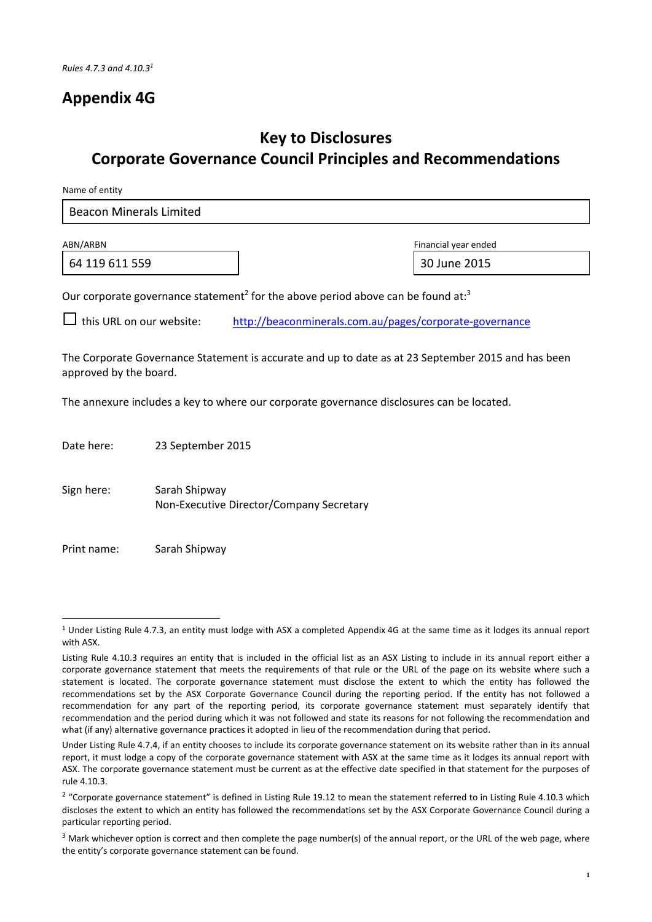## **Appendix 4G**

# **Key to Disclosures Corporate Governance Council Principles and Recommendations**

Name of entity

| Beacon Minerals Limited |
|-------------------------|
|-------------------------|

64 119 611 559 30 June 2015

ABN/ARBN Financial year ended

Our corporate governance statement<sup>2</sup> for the above period above can be found at:<sup>3</sup>

this URL on our website: http://beaconminerals.com.au/pages/corporate‐governance

The Corporate Governance Statement is accurate and up to date as at 23 September 2015 and has been approved by the board.

The annexure includes a key to where our corporate governance disclosures can be located.

Date here: 23 September 2015

Sign here: Sarah Shipway Non‐Executive Director/Company Secretary

Print name: Sarah Shipway

 $1$  Under Listing Rule 4.7.3, an entity must lodge with ASX a completed Appendix 4G at the same time as it lodges its annual report with ASX.

Listing Rule 4.10.3 requires an entity that is included in the official list as an ASX Listing to include in its annual report either a corporate governance statement that meets the requirements of that rule or the URL of the page on its website where such a statement is located. The corporate governance statement must disclose the extent to which the entity has followed the recommendations set by the ASX Corporate Governance Council during the reporting period. If the entity has not followed a recommendation for any part of the reporting period, its corporate governance statement must separately identify that recommendation and the period during which it was not followed and state its reasons for not following the recommendation and what (if any) alternative governance practices it adopted in lieu of the recommendation during that period.

Under Listing Rule 4.7.4, if an entity chooses to include its corporate governance statement on its website rather than in its annual report, it must lodge a copy of the corporate governance statement with ASX at the same time as it lodges its annual report with ASX. The corporate governance statement must be current as at the effective date specified in that statement for the purposes of rule 4.10.3.

<sup>&</sup>lt;sup>2</sup> "Corporate governance statement" is defined in Listing Rule 19.12 to mean the statement referred to in Listing Rule 4.10.3 which discloses the extent to which an entity has followed the recommendations set by the ASX Corporate Governance Council during a particular reporting period.

<sup>&</sup>lt;sup>3</sup> Mark whichever option is correct and then complete the page number(s) of the annual report, or the URL of the web page, where the entity's corporate governance statement can be found.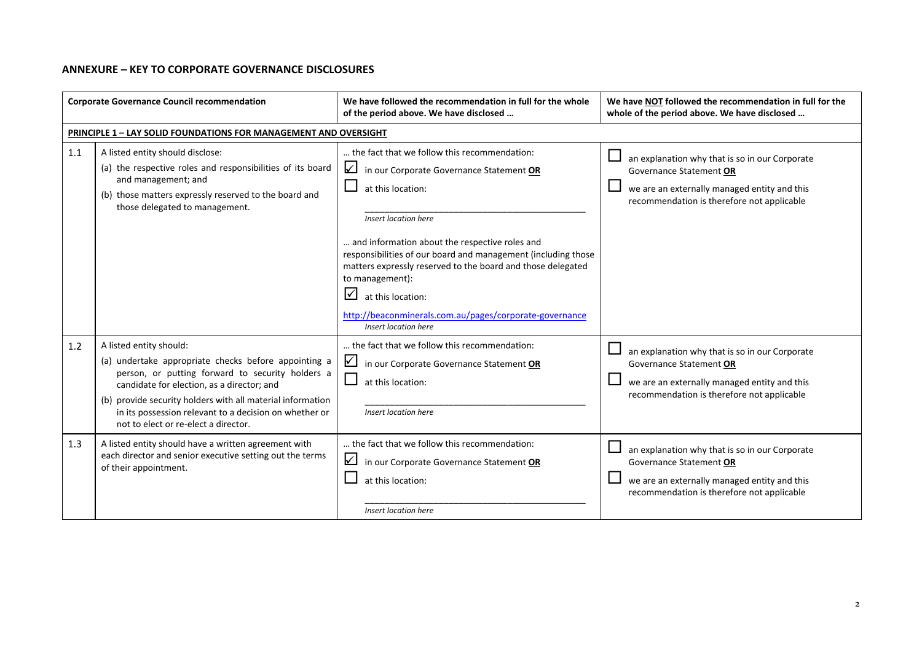#### **ANNEXURE – KEY TO CORPORATE GOVERNANCE DISCLOSURES**

| <b>Corporate Governance Council recommendation</b> |                                                                                                                                                                                                                                                                                                                                                                                                                                                                                                | We have followed the recommendation in full for the whole<br>of the period above. We have disclosed                                                                                                                                                                                                                                                                                                                                                                                | We have NOT followed the recommendation in full for the<br>whole of the period above. We have disclosed                                                                                                                                                                                              |
|----------------------------------------------------|------------------------------------------------------------------------------------------------------------------------------------------------------------------------------------------------------------------------------------------------------------------------------------------------------------------------------------------------------------------------------------------------------------------------------------------------------------------------------------------------|------------------------------------------------------------------------------------------------------------------------------------------------------------------------------------------------------------------------------------------------------------------------------------------------------------------------------------------------------------------------------------------------------------------------------------------------------------------------------------|------------------------------------------------------------------------------------------------------------------------------------------------------------------------------------------------------------------------------------------------------------------------------------------------------|
|                                                    | <b>PRINCIPLE 1 - LAY SOLID FOUNDATIONS FOR MANAGEMENT AND OVERSIGHT</b>                                                                                                                                                                                                                                                                                                                                                                                                                        |                                                                                                                                                                                                                                                                                                                                                                                                                                                                                    |                                                                                                                                                                                                                                                                                                      |
| 1.1                                                | A listed entity should disclose:<br>(a) the respective roles and responsibilities of its board<br>and management; and<br>(b) those matters expressly reserved to the board and<br>those delegated to management.                                                                                                                                                                                                                                                                               | the fact that we follow this recommendation:<br>$\sqrt{}$<br>in our Corporate Governance Statement OR<br>at this location:<br>Insert location here<br>and information about the respective roles and<br>responsibilities of our board and management (including those<br>matters expressly reserved to the board and those delegated<br>to management):<br>$\vert \sqrt{}$<br>at this location:<br>http://beaconminerals.com.au/pages/corporate-governance<br>Insert location here | an explanation why that is so in our Corporate<br>Governance Statement OR<br>we are an externally managed entity and this<br>recommendation is therefore not applicable                                                                                                                              |
| 1.2<br>1.3                                         | A listed entity should:<br>(a) undertake appropriate checks before appointing a<br>person, or putting forward to security holders a<br>candidate for election, as a director; and<br>(b) provide security holders with all material information<br>in its possession relevant to a decision on whether or<br>not to elect or re-elect a director.<br>A listed entity should have a written agreement with<br>each director and senior executive setting out the terms<br>of their appointment. | the fact that we follow this recommendation:<br>⊻<br>in our Corporate Governance Statement OR<br>at this location:<br>Insert location here<br>the fact that we follow this recommendation:<br>☑<br>in our Corporate Governance Statement OR<br>at this location:                                                                                                                                                                                                                   | an explanation why that is so in our Corporate<br>Governance Statement OR<br>we are an externally managed entity and this<br>recommendation is therefore not applicable<br>an explanation why that is so in our Corporate<br>Governance Statement OR<br>we are an externally managed entity and this |
|                                                    |                                                                                                                                                                                                                                                                                                                                                                                                                                                                                                | Insert location here                                                                                                                                                                                                                                                                                                                                                                                                                                                               | recommendation is therefore not applicable                                                                                                                                                                                                                                                           |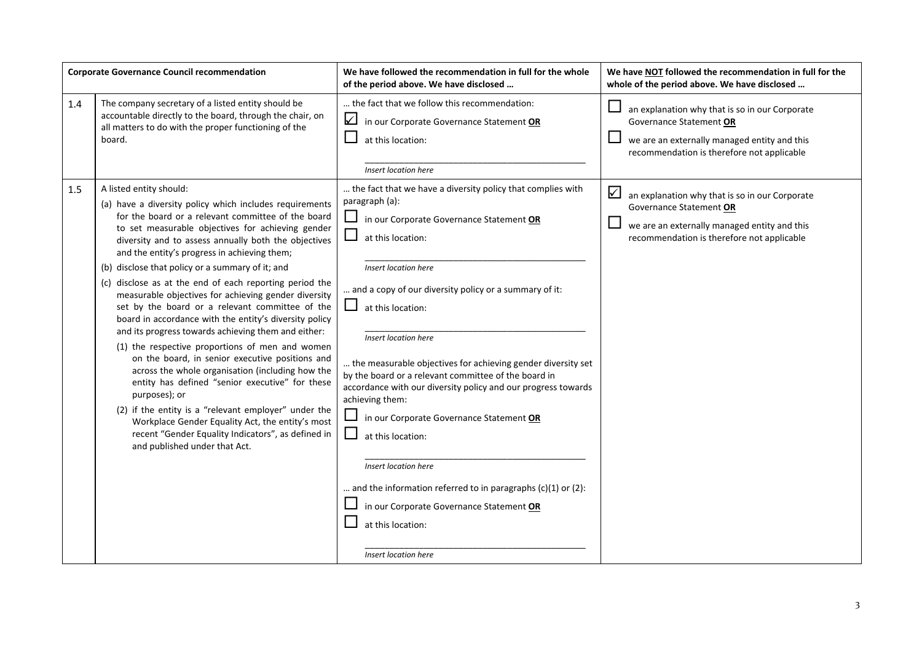|     | <b>Corporate Governance Council recommendation</b>                                                                                                                                                                                                                                                                                                                                                                                                                                                                                                                                                                                                                                                                                                                                                                                                                                                                                                                                                                                                                                | We have followed the recommendation in full for the whole<br>of the period above. We have disclosed                                                                                                                                                                                                                                                                                                                                                                                                                                                                                                                                                                                                                                                                         | We have NOT followed the recommendation in full for the<br>whole of the period above. We have disclosed                                                                              |
|-----|-----------------------------------------------------------------------------------------------------------------------------------------------------------------------------------------------------------------------------------------------------------------------------------------------------------------------------------------------------------------------------------------------------------------------------------------------------------------------------------------------------------------------------------------------------------------------------------------------------------------------------------------------------------------------------------------------------------------------------------------------------------------------------------------------------------------------------------------------------------------------------------------------------------------------------------------------------------------------------------------------------------------------------------------------------------------------------------|-----------------------------------------------------------------------------------------------------------------------------------------------------------------------------------------------------------------------------------------------------------------------------------------------------------------------------------------------------------------------------------------------------------------------------------------------------------------------------------------------------------------------------------------------------------------------------------------------------------------------------------------------------------------------------------------------------------------------------------------------------------------------------|--------------------------------------------------------------------------------------------------------------------------------------------------------------------------------------|
| 1.4 | The company secretary of a listed entity should be<br>accountable directly to the board, through the chair, on<br>all matters to do with the proper functioning of the<br>board.                                                                                                                                                                                                                                                                                                                                                                                                                                                                                                                                                                                                                                                                                                                                                                                                                                                                                                  | the fact that we follow this recommendation:<br>$\sqrt{ }$<br>in our Corporate Governance Statement OR<br>at this location:<br>Insert location here                                                                                                                                                                                                                                                                                                                                                                                                                                                                                                                                                                                                                         | $\Box$<br>an explanation why that is so in our Corporate<br>Governance Statement OR<br>we are an externally managed entity and this<br>recommendation is therefore not applicable    |
| 1.5 | A listed entity should:<br>(a) have a diversity policy which includes requirements<br>for the board or a relevant committee of the board<br>to set measurable objectives for achieving gender<br>diversity and to assess annually both the objectives<br>and the entity's progress in achieving them;<br>(b) disclose that policy or a summary of it; and<br>(c) disclose as at the end of each reporting period the<br>measurable objectives for achieving gender diversity<br>set by the board or a relevant committee of the<br>board in accordance with the entity's diversity policy<br>and its progress towards achieving them and either:<br>(1) the respective proportions of men and women<br>on the board, in senior executive positions and<br>across the whole organisation (including how the<br>entity has defined "senior executive" for these<br>purposes); or<br>(2) if the entity is a "relevant employer" under the<br>Workplace Gender Equality Act, the entity's most<br>recent "Gender Equality Indicators", as defined in<br>and published under that Act. | the fact that we have a diversity policy that complies with<br>paragraph (a):<br>$\sqcup$<br>in our Corporate Governance Statement OR<br>ப<br>at this location:<br>Insert location here<br>and a copy of our diversity policy or a summary of it:<br>ப<br>at this location:<br>Insert location here<br>the measurable objectives for achieving gender diversity set<br>by the board or a relevant committee of the board in<br>accordance with our diversity policy and our progress towards<br>achieving them:<br>in our Corporate Governance Statement OR<br>ப<br>at this location:<br>Insert location here<br>and the information referred to in paragraphs $(c)(1)$ or $(2)$ :<br>in our Corporate Governance Statement OR<br>at this location:<br>Insert location here | $\sqrt{}$<br>an explanation why that is so in our Corporate<br>Governance Statement OR<br>we are an externally managed entity and this<br>recommendation is therefore not applicable |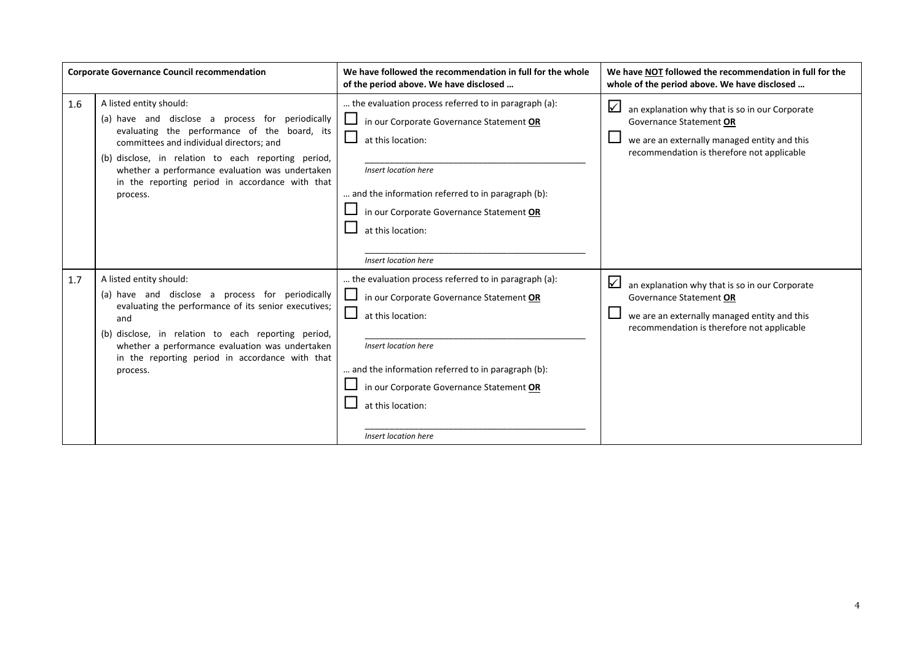|     | <b>Corporate Governance Council recommendation</b>                                                                                                                                                                                                                                                                                               | We have followed the recommendation in full for the whole<br>of the period above. We have disclosed                                                                                                                                                                                         | We have NOT followed the recommendation in full for the<br>whole of the period above. We have disclosed                                                                              |
|-----|--------------------------------------------------------------------------------------------------------------------------------------------------------------------------------------------------------------------------------------------------------------------------------------------------------------------------------------------------|---------------------------------------------------------------------------------------------------------------------------------------------------------------------------------------------------------------------------------------------------------------------------------------------|--------------------------------------------------------------------------------------------------------------------------------------------------------------------------------------|
| 1.6 | A listed entity should:<br>(a) have and disclose a process for periodically<br>evaluating the performance of the board, its<br>committees and individual directors: and<br>(b) disclose, in relation to each reporting period,<br>whether a performance evaluation was undertaken<br>in the reporting period in accordance with that<br>process. | the evaluation process referred to in paragraph (a):<br>in our Corporate Governance Statement OR<br>at this location:<br>Insert location here<br>and the information referred to in paragraph (b):<br>in our Corporate Governance Statement OR<br>at this location:<br>Insert location here | $\sqrt{}$<br>an explanation why that is so in our Corporate<br>Governance Statement OR<br>we are an externally managed entity and this<br>recommendation is therefore not applicable |
| 1.7 | A listed entity should:<br>(a) have and disclose a process for periodically<br>evaluating the performance of its senior executives;<br>and<br>(b) disclose, in relation to each reporting period,<br>whether a performance evaluation was undertaken<br>in the reporting period in accordance with that<br>process.                              | the evaluation process referred to in paragraph (a):<br>in our Corporate Governance Statement OR<br>at this location:<br>Insert location here<br>and the information referred to in paragraph (b):<br>in our Corporate Governance Statement OR<br>at this location:<br>Insert location here | $\sqrt{}$<br>an explanation why that is so in our Corporate<br>Governance Statement OR<br>we are an externally managed entity and this<br>recommendation is therefore not applicable |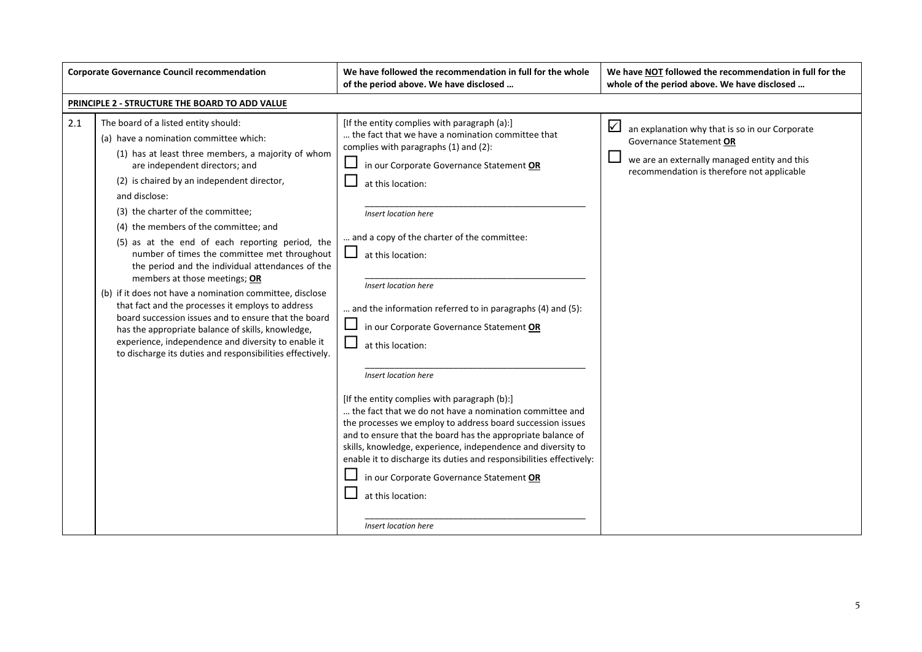|     | <b>Corporate Governance Council recommendation</b>                                                                                                                                                                                                                                                                                                                                                                                                                                                                                                                                                                                                                                                                                                                                                                                                            | We have followed the recommendation in full for the whole<br>of the period above. We have disclosed                                                                                                                                                                                                                                                                                                                                                                                                                                                                                                                                                                                                                                                                                                                                                                                                                                                            | We have NOT followed the recommendation in full for the<br>whole of the period above. We have disclosed                                                                              |
|-----|---------------------------------------------------------------------------------------------------------------------------------------------------------------------------------------------------------------------------------------------------------------------------------------------------------------------------------------------------------------------------------------------------------------------------------------------------------------------------------------------------------------------------------------------------------------------------------------------------------------------------------------------------------------------------------------------------------------------------------------------------------------------------------------------------------------------------------------------------------------|----------------------------------------------------------------------------------------------------------------------------------------------------------------------------------------------------------------------------------------------------------------------------------------------------------------------------------------------------------------------------------------------------------------------------------------------------------------------------------------------------------------------------------------------------------------------------------------------------------------------------------------------------------------------------------------------------------------------------------------------------------------------------------------------------------------------------------------------------------------------------------------------------------------------------------------------------------------|--------------------------------------------------------------------------------------------------------------------------------------------------------------------------------------|
|     | PRINCIPLE 2 - STRUCTURE THE BOARD TO ADD VALUE                                                                                                                                                                                                                                                                                                                                                                                                                                                                                                                                                                                                                                                                                                                                                                                                                |                                                                                                                                                                                                                                                                                                                                                                                                                                                                                                                                                                                                                                                                                                                                                                                                                                                                                                                                                                |                                                                                                                                                                                      |
| 2.1 | The board of a listed entity should:<br>(a) have a nomination committee which:<br>(1) has at least three members, a majority of whom<br>are independent directors; and<br>(2) is chaired by an independent director,<br>and disclose:<br>(3) the charter of the committee;<br>(4) the members of the committee; and<br>(5) as at the end of each reporting period, the<br>number of times the committee met throughout<br>the period and the individual attendances of the<br>members at those meetings; OR<br>(b) if it does not have a nomination committee, disclose<br>that fact and the processes it employs to address<br>board succession issues and to ensure that the board<br>has the appropriate balance of skills, knowledge,<br>experience, independence and diversity to enable it<br>to discharge its duties and responsibilities effectively. | [If the entity complies with paragraph (a):]<br>the fact that we have a nomination committee that<br>complies with paragraphs (1) and (2):<br>in our Corporate Governance Statement OR<br>at this location:<br>Insert location here<br>and a copy of the charter of the committee:<br>at this location:<br>Insert location here<br>and the information referred to in paragraphs (4) and (5):<br>in our Corporate Governance Statement OR<br>at this location:<br>Insert location here<br>[If the entity complies with paragraph (b):]<br>the fact that we do not have a nomination committee and<br>the processes we employ to address board succession issues<br>and to ensure that the board has the appropriate balance of<br>skills, knowledge, experience, independence and diversity to<br>enable it to discharge its duties and responsibilities effectively:<br>in our Corporate Governance Statement OR<br>at this location:<br>Insert location here | $\sqrt{}$<br>an explanation why that is so in our Corporate<br>Governance Statement OR<br>we are an externally managed entity and this<br>recommendation is therefore not applicable |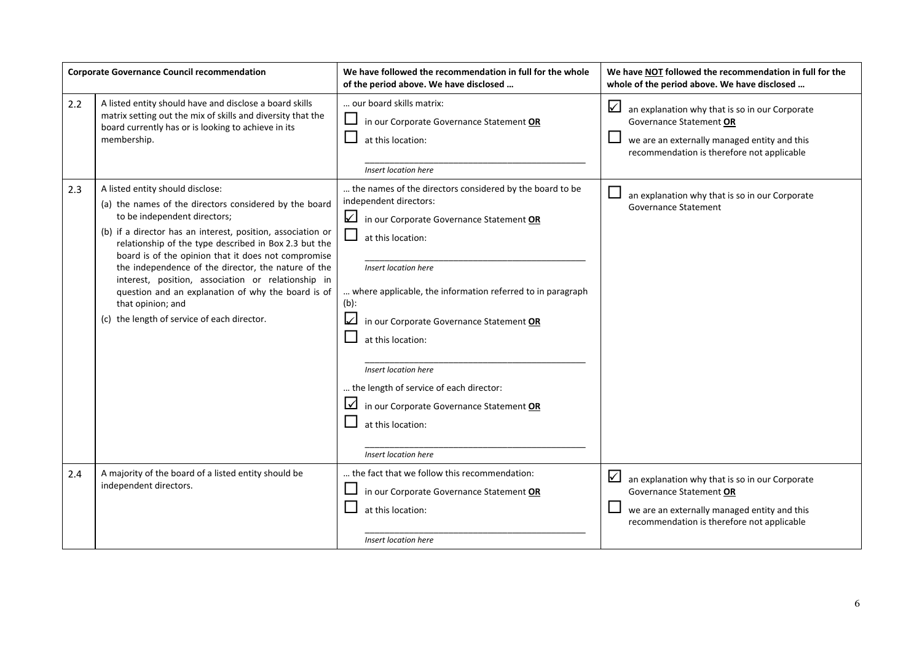|     | <b>Corporate Governance Council recommendation</b>                                                                                                                                                                                                                                                                                                                                                                                                                                                                                               | We have followed the recommendation in full for the whole<br>of the period above. We have disclosed                                                                                                                                                                                                                                                                                                                                                                                    | We have NOT followed the recommendation in full for the<br>whole of the period above. We have disclosed                                                                                 |
|-----|--------------------------------------------------------------------------------------------------------------------------------------------------------------------------------------------------------------------------------------------------------------------------------------------------------------------------------------------------------------------------------------------------------------------------------------------------------------------------------------------------------------------------------------------------|----------------------------------------------------------------------------------------------------------------------------------------------------------------------------------------------------------------------------------------------------------------------------------------------------------------------------------------------------------------------------------------------------------------------------------------------------------------------------------------|-----------------------------------------------------------------------------------------------------------------------------------------------------------------------------------------|
| 2.2 | A listed entity should have and disclose a board skills<br>matrix setting out the mix of skills and diversity that the<br>board currently has or is looking to achieve in its<br>membership.                                                                                                                                                                                                                                                                                                                                                     | our board skills matrix:<br>in our Corporate Governance Statement OR<br>at this location:<br>Insert location here                                                                                                                                                                                                                                                                                                                                                                      | $\checkmark$<br>an explanation why that is so in our Corporate<br>Governance Statement OR<br>we are an externally managed entity and this<br>recommendation is therefore not applicable |
| 2.3 | A listed entity should disclose:<br>(a) the names of the directors considered by the board<br>to be independent directors;<br>(b) if a director has an interest, position, association or<br>relationship of the type described in Box 2.3 but the<br>board is of the opinion that it does not compromise<br>the independence of the director, the nature of the<br>interest, position, association or relationship in<br>question and an explanation of why the board is of<br>that opinion; and<br>(c) the length of service of each director. | the names of the directors considered by the board to be<br>independent directors:<br>in our Corporate Governance Statement OR<br>at this location:<br>Insert location here<br>where applicable, the information referred to in paragraph<br>$(b)$ :<br>in our Corporate Governance Statement OR<br>at this location:<br>Insert location here<br>the length of service of each director:<br>in our Corporate Governance Statement OR<br>M<br>at this location:<br>Insert location here | an explanation why that is so in our Corporate<br><b>Governance Statement</b>                                                                                                           |
| 2.4 | A majority of the board of a listed entity should be<br>independent directors.                                                                                                                                                                                                                                                                                                                                                                                                                                                                   | the fact that we follow this recommendation:<br>in our Corporate Governance Statement OR<br>at this location:<br>Insert location here                                                                                                                                                                                                                                                                                                                                                  | ☑<br>an explanation why that is so in our Corporate<br>Governance Statement OR<br>we are an externally managed entity and this<br>recommendation is therefore not applicable            |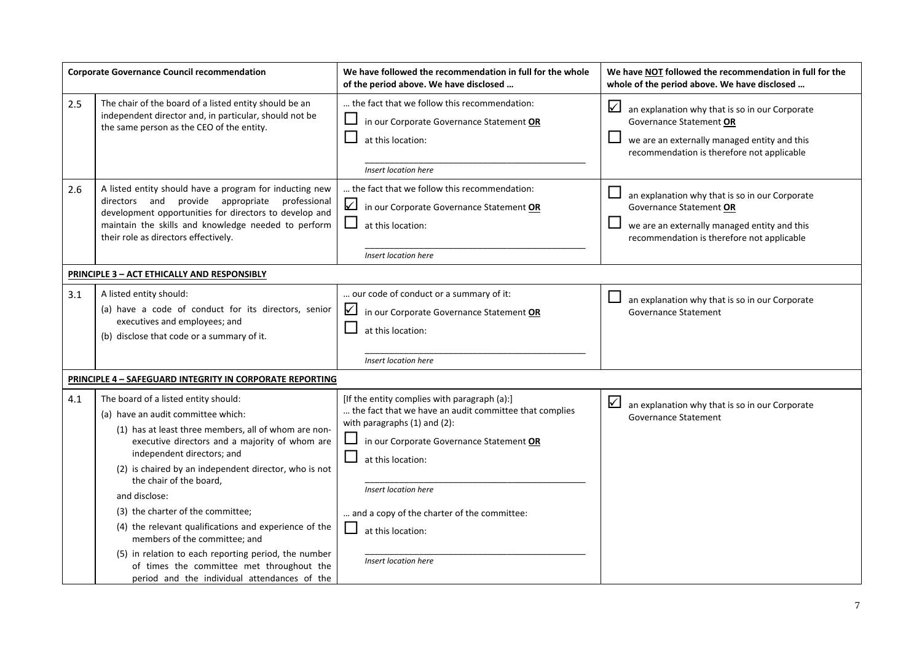|     | <b>Corporate Governance Council recommendation</b>                                                                                                                                                                                                                                                                                                                                                                                                                                                                                                                                                          | We have followed the recommendation in full for the whole<br>of the period above. We have disclosed                                                                                                                                                                                                                                   | We have NOT followed the recommendation in full for the<br>whole of the period above. We have disclosed                                                                                 |
|-----|-------------------------------------------------------------------------------------------------------------------------------------------------------------------------------------------------------------------------------------------------------------------------------------------------------------------------------------------------------------------------------------------------------------------------------------------------------------------------------------------------------------------------------------------------------------------------------------------------------------|---------------------------------------------------------------------------------------------------------------------------------------------------------------------------------------------------------------------------------------------------------------------------------------------------------------------------------------|-----------------------------------------------------------------------------------------------------------------------------------------------------------------------------------------|
| 2.5 | The chair of the board of a listed entity should be an<br>independent director and, in particular, should not be<br>the same person as the CEO of the entity.                                                                                                                                                                                                                                                                                                                                                                                                                                               | the fact that we follow this recommendation:<br>in our Corporate Governance Statement OR<br>at this location:<br>Insert location here                                                                                                                                                                                                 | $\checkmark$<br>an explanation why that is so in our Corporate<br>Governance Statement OR<br>we are an externally managed entity and this<br>recommendation is therefore not applicable |
| 2.6 | A listed entity should have a program for inducting new<br>directors and provide appropriate professional<br>development opportunities for directors to develop and<br>maintain the skills and knowledge needed to perform<br>their role as directors effectively.                                                                                                                                                                                                                                                                                                                                          | the fact that we follow this recommendation:<br>✓<br>in our Corporate Governance Statement OR<br>$\sqcup$<br>at this location:<br>Insert location here                                                                                                                                                                                | $\Box$<br>an explanation why that is so in our Corporate<br>Governance Statement OR<br>we are an externally managed entity and this<br>recommendation is therefore not applicable       |
|     | <b>PRINCIPLE 3 - ACT ETHICALLY AND RESPONSIBLY</b>                                                                                                                                                                                                                                                                                                                                                                                                                                                                                                                                                          |                                                                                                                                                                                                                                                                                                                                       |                                                                                                                                                                                         |
| 3.1 | A listed entity should:<br>(a) have a code of conduct for its directors, senior<br>executives and employees; and<br>(b) disclose that code or a summary of it.                                                                                                                                                                                                                                                                                                                                                                                                                                              | our code of conduct or a summary of it:<br>☑<br>in our Corporate Governance Statement OR<br>at this location:<br>Insert location here                                                                                                                                                                                                 | $\Box$<br>an explanation why that is so in our Corporate<br><b>Governance Statement</b>                                                                                                 |
|     | PRINCIPLE 4 - SAFEGUARD INTEGRITY IN CORPORATE REPORTING                                                                                                                                                                                                                                                                                                                                                                                                                                                                                                                                                    |                                                                                                                                                                                                                                                                                                                                       |                                                                                                                                                                                         |
| 4.1 | The board of a listed entity should:<br>(a) have an audit committee which:<br>(1) has at least three members, all of whom are non-<br>executive directors and a majority of whom are<br>independent directors; and<br>(2) is chaired by an independent director, who is not<br>the chair of the board,<br>and disclose:<br>(3) the charter of the committee;<br>(4) the relevant qualifications and experience of the<br>members of the committee; and<br>(5) in relation to each reporting period, the number<br>of times the committee met throughout the<br>period and the individual attendances of the | [If the entity complies with paragraph (a):]<br>the fact that we have an audit committee that complies<br>with paragraphs (1) and (2):<br>in our Corporate Governance Statement OR<br>ப<br>at this location:<br>Insert location here<br>and a copy of the charter of the committee:<br>ப<br>at this location:<br>Insert location here | $\checkmark$<br>an explanation why that is so in our Corporate<br><b>Governance Statement</b>                                                                                           |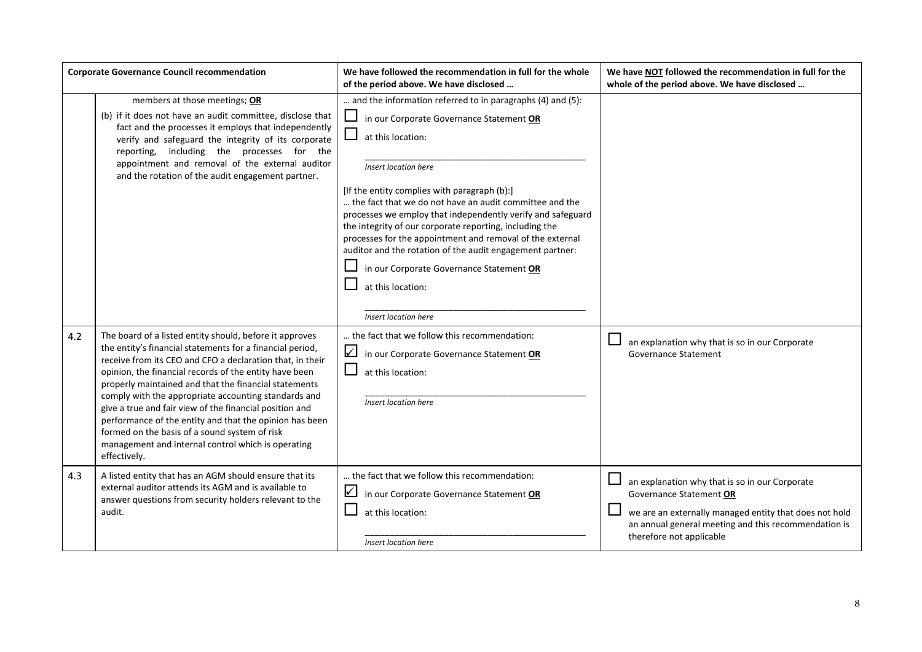|     | <b>Corporate Governance Council recommendation</b>                                                                                                                                                                                                                                                                                                                                                                                                                                                                                                                                                        | We have followed the recommendation in full for the whole<br>of the period above. We have disclosed                                                                                                                                                                                                                                                                                                                                                                                                                                                                                                         | We have NOT followed the recommendation in full for the<br>whole of the period above. We have disclosed                                                                                                                 |
|-----|-----------------------------------------------------------------------------------------------------------------------------------------------------------------------------------------------------------------------------------------------------------------------------------------------------------------------------------------------------------------------------------------------------------------------------------------------------------------------------------------------------------------------------------------------------------------------------------------------------------|-------------------------------------------------------------------------------------------------------------------------------------------------------------------------------------------------------------------------------------------------------------------------------------------------------------------------------------------------------------------------------------------------------------------------------------------------------------------------------------------------------------------------------------------------------------------------------------------------------------|-------------------------------------------------------------------------------------------------------------------------------------------------------------------------------------------------------------------------|
|     | members at those meetings; OR<br>(b) if it does not have an audit committee, disclose that<br>fact and the processes it employs that independently<br>verify and safeguard the integrity of its corporate<br>reporting, including the processes for the<br>appointment and removal of the external auditor<br>and the rotation of the audit engagement partner.                                                                                                                                                                                                                                           | and the information referred to in paragraphs (4) and (5):<br>in our Corporate Governance Statement OR<br>at this location:<br>Insert location here<br>[If the entity complies with paragraph (b):]<br>the fact that we do not have an audit committee and the<br>processes we employ that independently verify and safeguard<br>the integrity of our corporate reporting, including the<br>processes for the appointment and removal of the external<br>auditor and the rotation of the audit engagement partner:<br>in our Corporate Governance Statement OR<br>at this location:<br>Insert location here |                                                                                                                                                                                                                         |
| 4.2 | The board of a listed entity should, before it approves<br>the entity's financial statements for a financial period,<br>receive from its CEO and CFO a declaration that, in their<br>opinion, the financial records of the entity have been<br>properly maintained and that the financial statements<br>comply with the appropriate accounting standards and<br>give a true and fair view of the financial position and<br>performance of the entity and that the opinion has been<br>formed on the basis of a sound system of risk<br>management and internal control which is operating<br>effectively. | the fact that we follow this recommendation:<br>☑<br>in our Corporate Governance Statement OR<br>at this location:<br>Insert location here                                                                                                                                                                                                                                                                                                                                                                                                                                                                  | an explanation why that is so in our Corporate<br>Governance Statement                                                                                                                                                  |
| 4.3 | A listed entity that has an AGM should ensure that its<br>external auditor attends its AGM and is available to<br>answer questions from security holders relevant to the<br>audit.                                                                                                                                                                                                                                                                                                                                                                                                                        | the fact that we follow this recommendation:<br>☑<br>in our Corporate Governance Statement OR<br>at this location:<br>Insert location here                                                                                                                                                                                                                                                                                                                                                                                                                                                                  | an explanation why that is so in our Corporate<br>Governance Statement OR<br>we are an externally managed entity that does not hold<br>an annual general meeting and this recommendation is<br>therefore not applicable |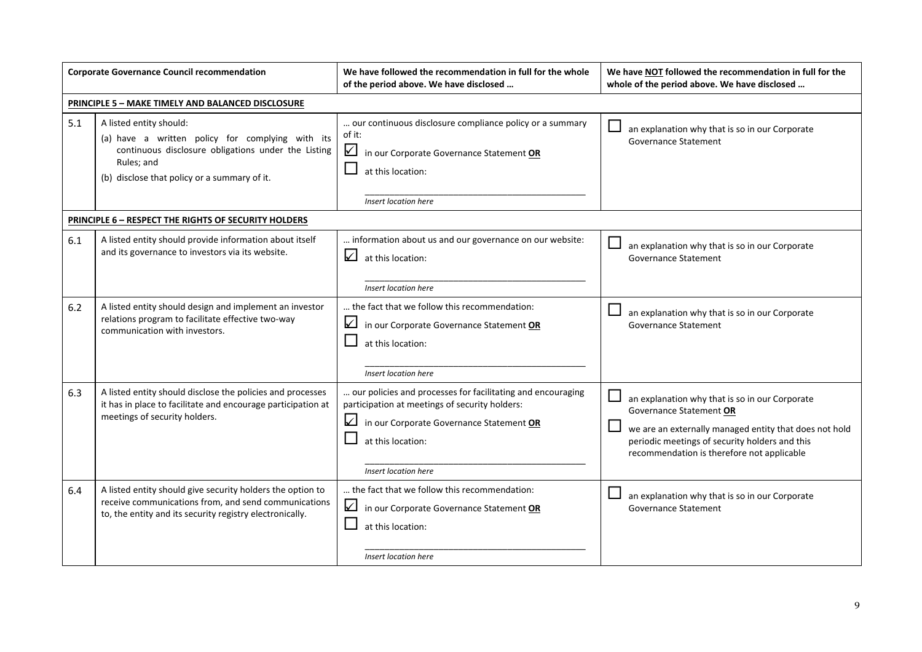|     | <b>Corporate Governance Council recommendation</b>                                                                                                                                               | We have followed the recommendation in full for the whole<br>of the period above. We have disclosed                                                                                                    | We have NOT followed the recommendation in full for the<br>whole of the period above. We have disclosed                                                                                                                             |
|-----|--------------------------------------------------------------------------------------------------------------------------------------------------------------------------------------------------|--------------------------------------------------------------------------------------------------------------------------------------------------------------------------------------------------------|-------------------------------------------------------------------------------------------------------------------------------------------------------------------------------------------------------------------------------------|
|     | <b>PRINCIPLE 5 - MAKE TIMELY AND BALANCED DISCLOSURE</b>                                                                                                                                         |                                                                                                                                                                                                        |                                                                                                                                                                                                                                     |
| 5.1 | A listed entity should:<br>(a) have a written policy for complying with its<br>continuous disclosure obligations under the Listing<br>Rules; and<br>(b) disclose that policy or a summary of it. | our continuous disclosure compliance policy or a summary<br>of it:<br>in our Corporate Governance Statement OR<br>at this location:<br>Insert location here                                            | an explanation why that is so in our Corporate<br>Governance Statement                                                                                                                                                              |
|     | PRINCIPLE 6 - RESPECT THE RIGHTS OF SECURITY HOLDERS                                                                                                                                             |                                                                                                                                                                                                        |                                                                                                                                                                                                                                     |
| 6.1 | A listed entity should provide information about itself<br>and its governance to investors via its website.                                                                                      | information about us and our governance on our website:<br>☑<br>at this location:<br>Insert location here                                                                                              | an explanation why that is so in our Corporate<br>Governance Statement                                                                                                                                                              |
| 6.2 | A listed entity should design and implement an investor<br>relations program to facilitate effective two-way<br>communication with investors.                                                    | the fact that we follow this recommendation:<br>☑<br>in our Corporate Governance Statement OR<br>at this location:<br>Insert location here                                                             | an explanation why that is so in our Corporate<br><b>Governance Statement</b>                                                                                                                                                       |
| 6.3 | A listed entity should disclose the policies and processes<br>it has in place to facilitate and encourage participation at<br>meetings of security holders.                                      | our policies and processes for facilitating and encouraging<br>participation at meetings of security holders:<br>in our Corporate Governance Statement OR<br>at this location:<br>Insert location here | an explanation why that is so in our Corporate<br>Governance Statement OR<br>we are an externally managed entity that does not hold<br>periodic meetings of security holders and this<br>recommendation is therefore not applicable |
| 6.4 | A listed entity should give security holders the option to<br>receive communications from, and send communications<br>to, the entity and its security registry electronically.                   | the fact that we follow this recommendation:<br>$\sqrt{}$<br>in our Corporate Governance Statement OR<br>at this location:<br>Insert location here                                                     | an explanation why that is so in our Corporate<br><b>Governance Statement</b>                                                                                                                                                       |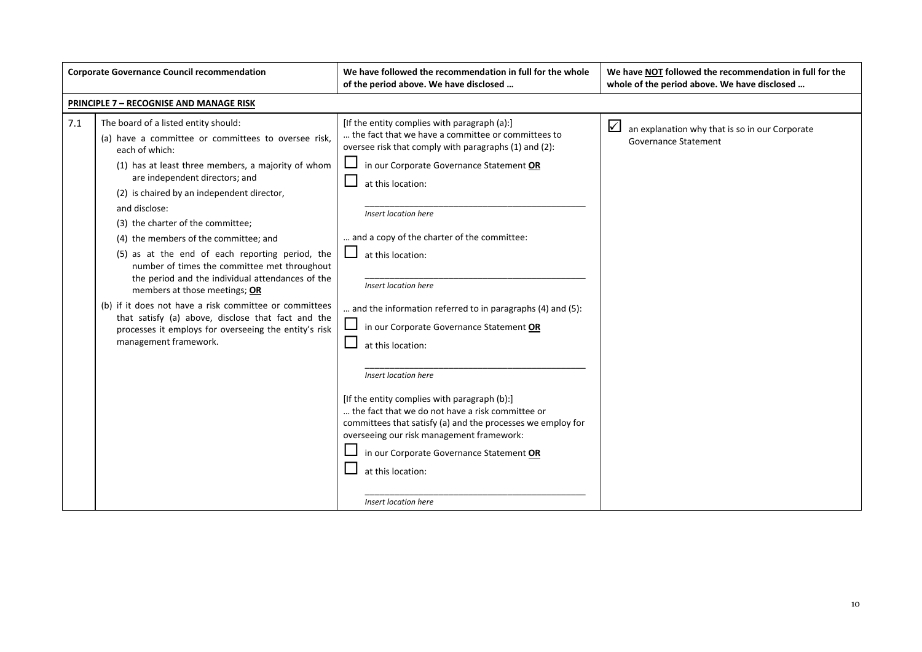|     | <b>Corporate Governance Council recommendation</b>                                                                                                                                                                                                                                                                                                                                                                                                                                                                                                                                                                                                                                                                                           | We have followed the recommendation in full for the whole<br>of the period above. We have disclosed                                                                                                                                                                                                                                                                                                                                                                                                                                                                                                                                                                                                                                                                                                                     | We have NOT followed the recommendation in full for the<br>whole of the period above. We have disclosed |
|-----|----------------------------------------------------------------------------------------------------------------------------------------------------------------------------------------------------------------------------------------------------------------------------------------------------------------------------------------------------------------------------------------------------------------------------------------------------------------------------------------------------------------------------------------------------------------------------------------------------------------------------------------------------------------------------------------------------------------------------------------------|-------------------------------------------------------------------------------------------------------------------------------------------------------------------------------------------------------------------------------------------------------------------------------------------------------------------------------------------------------------------------------------------------------------------------------------------------------------------------------------------------------------------------------------------------------------------------------------------------------------------------------------------------------------------------------------------------------------------------------------------------------------------------------------------------------------------------|---------------------------------------------------------------------------------------------------------|
|     | <b>PRINCIPLE 7 - RECOGNISE AND MANAGE RISK</b>                                                                                                                                                                                                                                                                                                                                                                                                                                                                                                                                                                                                                                                                                               |                                                                                                                                                                                                                                                                                                                                                                                                                                                                                                                                                                                                                                                                                                                                                                                                                         |                                                                                                         |
| 7.1 | The board of a listed entity should:<br>(a) have a committee or committees to oversee risk,<br>each of which:<br>(1) has at least three members, a majority of whom<br>are independent directors; and<br>(2) is chaired by an independent director,<br>and disclose:<br>(3) the charter of the committee;<br>(4) the members of the committee; and<br>(5) as at the end of each reporting period, the<br>number of times the committee met throughout<br>the period and the individual attendances of the<br>members at those meetings; OR<br>(b) if it does not have a risk committee or committees<br>that satisfy (a) above, disclose that fact and the<br>processes it employs for overseeing the entity's risk<br>management framework. | [If the entity complies with paragraph (a):]<br>the fact that we have a committee or committees to<br>oversee risk that comply with paragraphs (1) and (2):<br>in our Corporate Governance Statement OR<br>at this location:<br>Insert location here<br>and a copy of the charter of the committee:<br>at this location:<br><b>Insert location here</b><br>and the information referred to in paragraphs (4) and (5):<br>in our Corporate Governance Statement OR<br>at this location:<br>Insert location here<br>[If the entity complies with paragraph (b):]<br>the fact that we do not have a risk committee or<br>committees that satisfy (a) and the processes we employ for<br>overseeing our risk management framework:<br>in our Corporate Governance Statement OR<br>at this location:<br>Insert location here | $\sqrt{}$<br>an explanation why that is so in our Corporate<br><b>Governance Statement</b>              |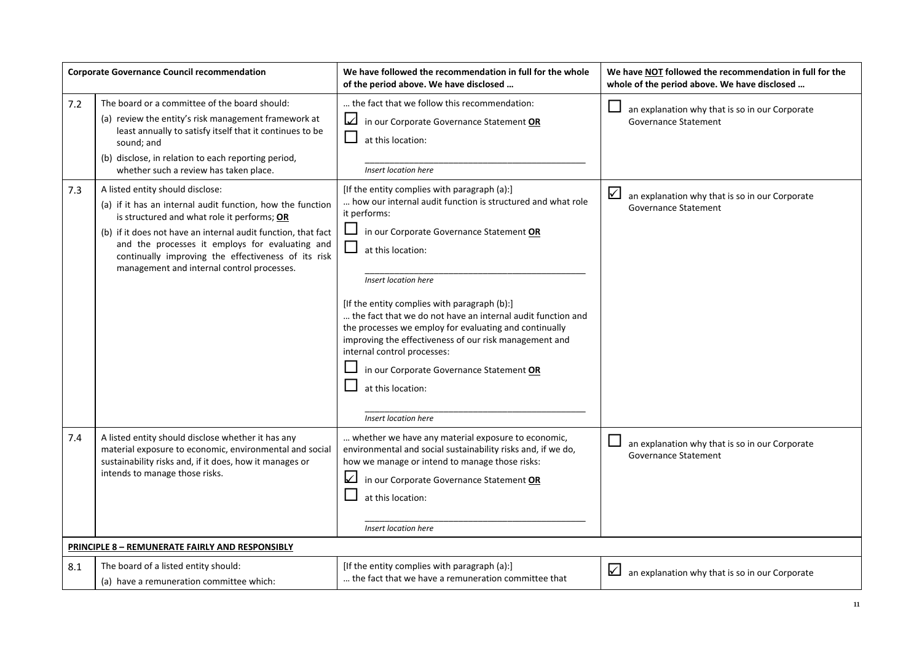|     | <b>Corporate Governance Council recommendation</b>                                                                                                                                                                                                                                                                                                                     | We have followed the recommendation in full for the whole<br>of the period above. We have disclosed                                                                                                                                                                                                                                                                                                                                                                                                                                                                             | We have NOT followed the recommendation in full for the<br>whole of the period above. We have disclosed |
|-----|------------------------------------------------------------------------------------------------------------------------------------------------------------------------------------------------------------------------------------------------------------------------------------------------------------------------------------------------------------------------|---------------------------------------------------------------------------------------------------------------------------------------------------------------------------------------------------------------------------------------------------------------------------------------------------------------------------------------------------------------------------------------------------------------------------------------------------------------------------------------------------------------------------------------------------------------------------------|---------------------------------------------------------------------------------------------------------|
| 7.2 | The board or a committee of the board should:<br>(a) review the entity's risk management framework at<br>least annually to satisfy itself that it continues to be<br>sound; and<br>(b) disclose, in relation to each reporting period,<br>whether such a review has taken place.                                                                                       | the fact that we follow this recommendation:<br>☑<br>in our Corporate Governance Statement OR<br>at this location:<br>Insert location here                                                                                                                                                                                                                                                                                                                                                                                                                                      | an explanation why that is so in our Corporate<br><b>Governance Statement</b>                           |
| 7.3 | A listed entity should disclose:<br>(a) if it has an internal audit function, how the function<br>is structured and what role it performs; OR<br>(b) if it does not have an internal audit function, that fact<br>and the processes it employs for evaluating and<br>continually improving the effectiveness of its risk<br>management and internal control processes. | [If the entity complies with paragraph (a):]<br>how our internal audit function is structured and what role<br>it performs:<br>in our Corporate Governance Statement OR<br>at this location:<br>Insert location here<br>[If the entity complies with paragraph (b):]<br>the fact that we do not have an internal audit function and<br>the processes we employ for evaluating and continually<br>improving the effectiveness of our risk management and<br>internal control processes:<br>in our Corporate Governance Statement OR<br>at this location:<br>Insert location here | ⊻<br>an explanation why that is so in our Corporate<br>Governance Statement                             |
| 7.4 | A listed entity should disclose whether it has any<br>material exposure to economic, environmental and social<br>sustainability risks and, if it does, how it manages or<br>intends to manage those risks.                                                                                                                                                             | whether we have any material exposure to economic,<br>environmental and social sustainability risks and, if we do,<br>how we manage or intend to manage those risks:<br>☑<br>in our Corporate Governance Statement OR<br>at this location:<br>Insert location here                                                                                                                                                                                                                                                                                                              | $\Box$<br>an explanation why that is so in our Corporate<br><b>Governance Statement</b>                 |
|     | PRINCIPLE 8 - REMUNERATE FAIRLY AND RESPONSIBLY                                                                                                                                                                                                                                                                                                                        |                                                                                                                                                                                                                                                                                                                                                                                                                                                                                                                                                                                 |                                                                                                         |
| 8.1 | The board of a listed entity should:<br>(a) have a remuneration committee which:                                                                                                                                                                                                                                                                                       | [If the entity complies with paragraph (a):]<br>the fact that we have a remuneration committee that                                                                                                                                                                                                                                                                                                                                                                                                                                                                             | an explanation why that is so in our Corporate                                                          |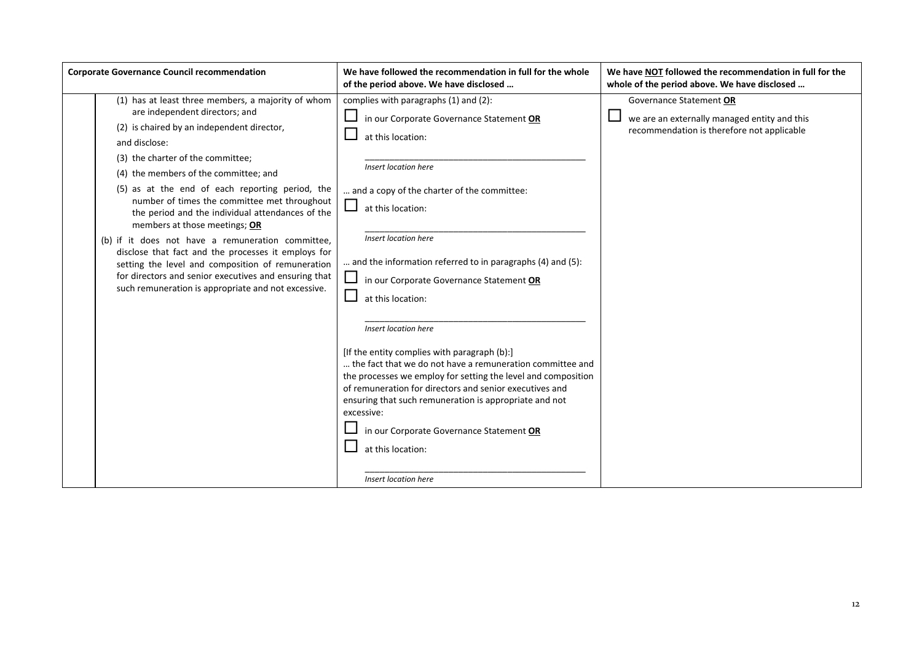| <b>Corporate Governance Council recommendation</b>                                                                                                                                                                                                                                                                                                                                                                                                                                                                                                                                                                                                                                                         | We have followed the recommendation in full for the whole<br>of the period above. We have disclosed                                                                                                                                                                                                                                                                                                                                                                                                                                                                                                                                                                                                                                                                                         | We have NOT followed the recommendation in full for the<br>whole of the period above. We have disclosed               |
|------------------------------------------------------------------------------------------------------------------------------------------------------------------------------------------------------------------------------------------------------------------------------------------------------------------------------------------------------------------------------------------------------------------------------------------------------------------------------------------------------------------------------------------------------------------------------------------------------------------------------------------------------------------------------------------------------------|---------------------------------------------------------------------------------------------------------------------------------------------------------------------------------------------------------------------------------------------------------------------------------------------------------------------------------------------------------------------------------------------------------------------------------------------------------------------------------------------------------------------------------------------------------------------------------------------------------------------------------------------------------------------------------------------------------------------------------------------------------------------------------------------|-----------------------------------------------------------------------------------------------------------------------|
| (1) has at least three members, a majority of whom<br>are independent directors; and<br>(2) is chaired by an independent director,<br>and disclose:<br>(3) the charter of the committee;<br>(4) the members of the committee; and<br>(5) as at the end of each reporting period, the<br>number of times the committee met throughout<br>the period and the individual attendances of the<br>members at those meetings; OR<br>(b) if it does not have a remuneration committee,<br>disclose that fact and the processes it employs for<br>setting the level and composition of remuneration<br>for directors and senior executives and ensuring that<br>such remuneration is appropriate and not excessive. | complies with paragraphs (1) and (2):<br>in our Corporate Governance Statement OR<br>at this location:<br>Insert location here<br>and a copy of the charter of the committee:<br>at this location:<br>Insert location here<br>and the information referred to in paragraphs (4) and (5):<br>in our Corporate Governance Statement OR<br>at this location:<br>Insert location here<br>[If the entity complies with paragraph (b):]<br>the fact that we do not have a remuneration committee and<br>the processes we employ for setting the level and composition<br>of remuneration for directors and senior executives and<br>ensuring that such remuneration is appropriate and not<br>excessive:<br>in our Corporate Governance Statement OR<br>at this location:<br>Insert location here | Governance Statement OR<br>we are an externally managed entity and this<br>recommendation is therefore not applicable |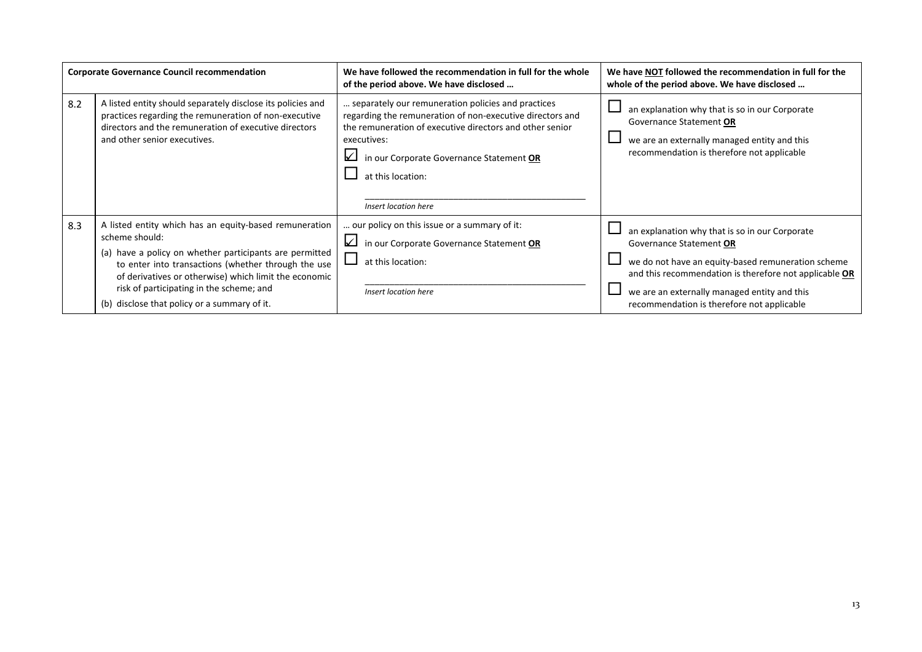| <b>Corporate Governance Council recommendation</b> |                                                                                                                                                                                                                                                                                                                                                 | We have followed the recommendation in full for the whole<br>of the period above. We have disclosed                                                                                                                                                                                 | We have NOT followed the recommendation in full for the<br>whole of the period above. We have disclosed                                                                                                                                                                                 |
|----------------------------------------------------|-------------------------------------------------------------------------------------------------------------------------------------------------------------------------------------------------------------------------------------------------------------------------------------------------------------------------------------------------|-------------------------------------------------------------------------------------------------------------------------------------------------------------------------------------------------------------------------------------------------------------------------------------|-----------------------------------------------------------------------------------------------------------------------------------------------------------------------------------------------------------------------------------------------------------------------------------------|
| 8.2                                                | A listed entity should separately disclose its policies and<br>practices regarding the remuneration of non-executive<br>directors and the remuneration of executive directors<br>and other senior executives.                                                                                                                                   | separately our remuneration policies and practices<br>regarding the remuneration of non-executive directors and<br>the remuneration of executive directors and other senior<br>executives:<br>in our Corporate Governance Statement OR<br>at this location:<br>Insert location here | an explanation why that is so in our Corporate<br>Governance Statement OR<br>we are an externally managed entity and this<br>recommendation is therefore not applicable                                                                                                                 |
| 8.3                                                | A listed entity which has an equity-based remuneration<br>scheme should:<br>(a) have a policy on whether participants are permitted<br>to enter into transactions (whether through the use<br>of derivatives or otherwise) which limit the economic<br>risk of participating in the scheme; and<br>(b) disclose that policy or a summary of it. | our policy on this issue or a summary of it:<br>in our Corporate Governance Statement OR<br>at this location:<br>Insert location here                                                                                                                                               | an explanation why that is so in our Corporate<br>Governance Statement OR<br>we do not have an equity-based remuneration scheme<br>and this recommendation is therefore not applicable OR<br>we are an externally managed entity and this<br>recommendation is therefore not applicable |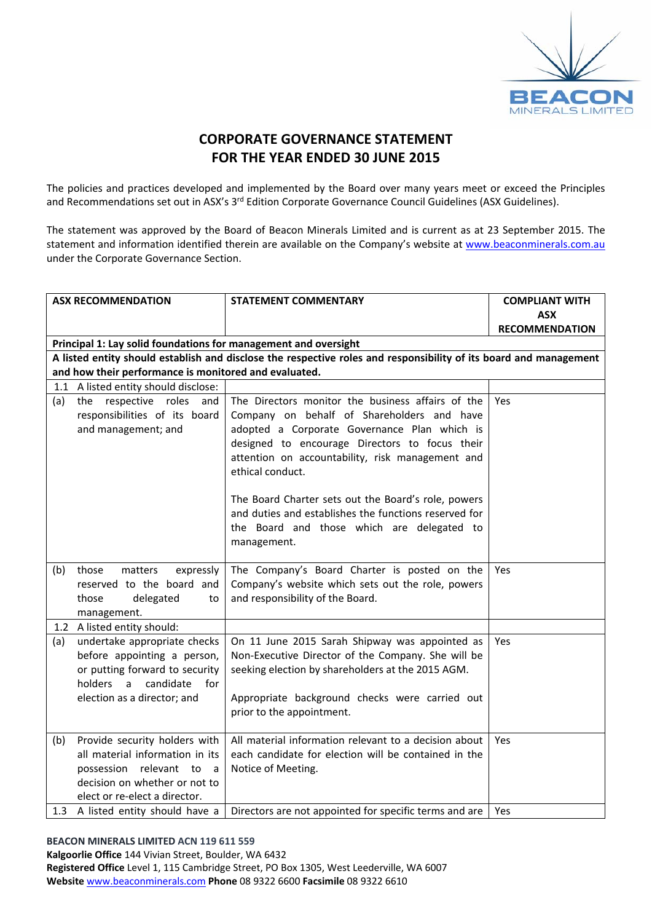

## **CORPORATE GOVERNANCE STATEMENT FOR THE YEAR ENDED 30 JUNE 2015**

The policies and practices developed and implemented by the Board over many years meet or exceed the Principles and Recommendations set out in ASX's 3<sup>rd</sup> Edition Corporate Governance Council Guidelines (ASX Guidelines).

The statement was approved by the Board of Beacon Minerals Limited and is current as at 23 September 2015. The statement and information identified therein are available on the Company's website at www.beaconminerals.com.au under the Corporate Governance Section.

|     | <b>ASX RECOMMENDATION</b>                                                                                                                                                     | <b>STATEMENT COMMENTARY</b>                                                                                                                                                                                                              | <b>COMPLIANT WITH</b> |
|-----|-------------------------------------------------------------------------------------------------------------------------------------------------------------------------------|------------------------------------------------------------------------------------------------------------------------------------------------------------------------------------------------------------------------------------------|-----------------------|
|     |                                                                                                                                                                               |                                                                                                                                                                                                                                          | <b>ASX</b>            |
|     |                                                                                                                                                                               |                                                                                                                                                                                                                                          | <b>RECOMMENDATION</b> |
|     | Principal 1: Lay solid foundations for management and oversight                                                                                                               |                                                                                                                                                                                                                                          |                       |
|     |                                                                                                                                                                               | A listed entity should establish and disclose the respective roles and responsibility of its board and management                                                                                                                        |                       |
|     | and how their performance is monitored and evaluated.                                                                                                                         |                                                                                                                                                                                                                                          |                       |
|     | 1.1 A listed entity should disclose:                                                                                                                                          |                                                                                                                                                                                                                                          |                       |
| (a) | the respective roles<br>and<br>responsibilities of its board<br>and management; and                                                                                           | The Directors monitor the business affairs of the<br>Company on behalf of Shareholders and have<br>adopted a Corporate Governance Plan which is                                                                                          | <b>Yes</b>            |
|     |                                                                                                                                                                               | designed to encourage Directors to focus their<br>attention on accountability, risk management and<br>ethical conduct.                                                                                                                   |                       |
|     |                                                                                                                                                                               | The Board Charter sets out the Board's role, powers<br>and duties and establishes the functions reserved for<br>the Board and those which are delegated to<br>management.                                                                |                       |
| (b) | those<br>matters<br>expressly<br>reserved to the board and<br>delegated<br>those<br>to<br>management.                                                                         | The Company's Board Charter is posted on the<br>Company's website which sets out the role, powers<br>and responsibility of the Board.                                                                                                    | Yes                   |
|     | 1.2 A listed entity should:                                                                                                                                                   |                                                                                                                                                                                                                                          |                       |
| (a) | undertake appropriate checks<br>before appointing a person,<br>or putting forward to security<br>holders<br>$\overline{a}$<br>candidate<br>for<br>election as a director; and | On 11 June 2015 Sarah Shipway was appointed as<br>Non-Executive Director of the Company. She will be<br>seeking election by shareholders at the 2015 AGM.<br>Appropriate background checks were carried out<br>prior to the appointment. | Yes                   |
| (b) | Provide security holders with<br>all material information in its<br>possession relevant to<br>a a<br>decision on whether or not to<br>elect or re-elect a director.           | All material information relevant to a decision about<br>each candidate for election will be contained in the<br>Notice of Meeting.                                                                                                      | <b>Yes</b>            |
|     | 1.3 A listed entity should have a                                                                                                                                             | Directors are not appointed for specific terms and are                                                                                                                                                                                   | Yes                   |

#### **BEACON MINERALS LIMITED ACN 119 611 559**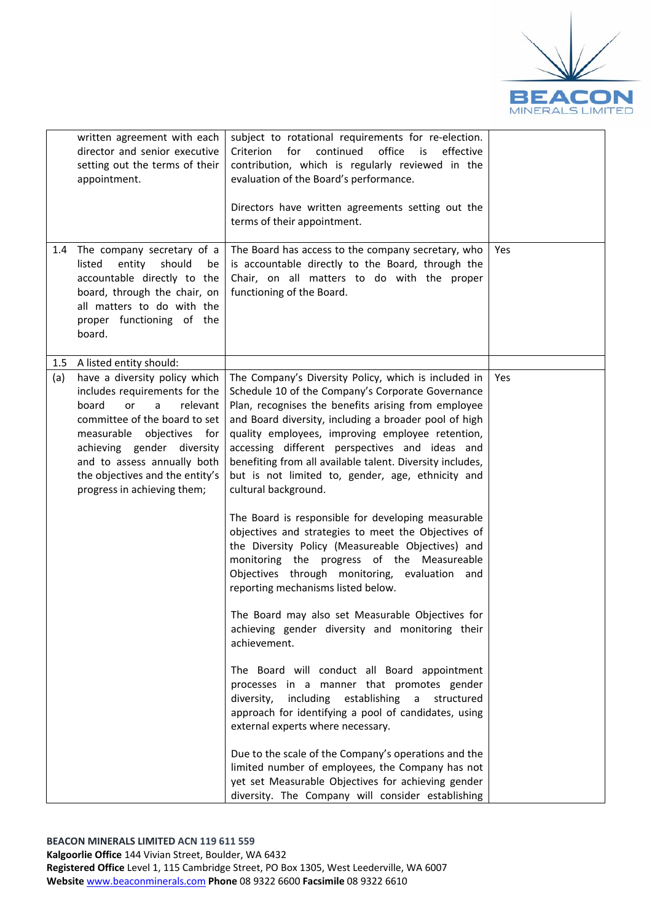

| written agreement with each<br>director and senior executive<br>setting out the terms of their<br>appointment.                                                                                                                                                                                                                                  | subject to rotational requirements for re-election.<br>for<br>continued<br>office<br>Criterion<br>is<br>effective<br>contribution, which is regularly reviewed in the<br>evaluation of the Board's performance.<br>Directors have written agreements setting out the<br>terms of their appointment.                                                                                                                                                                                                                                                                                                                                                                                                                                                                                                                                                                                                                                                                                                                                                                                                                                                                                                                                                                                                                                        |     |
|-------------------------------------------------------------------------------------------------------------------------------------------------------------------------------------------------------------------------------------------------------------------------------------------------------------------------------------------------|--------------------------------------------------------------------------------------------------------------------------------------------------------------------------------------------------------------------------------------------------------------------------------------------------------------------------------------------------------------------------------------------------------------------------------------------------------------------------------------------------------------------------------------------------------------------------------------------------------------------------------------------------------------------------------------------------------------------------------------------------------------------------------------------------------------------------------------------------------------------------------------------------------------------------------------------------------------------------------------------------------------------------------------------------------------------------------------------------------------------------------------------------------------------------------------------------------------------------------------------------------------------------------------------------------------------------------------------|-----|
| The company secretary of a<br>1.4<br>listed<br>entity<br>should<br>be<br>accountable directly to the<br>board, through the chair, on<br>all matters to do with the<br>proper functioning of the<br>board.                                                                                                                                       | The Board has access to the company secretary, who<br>is accountable directly to the Board, through the<br>Chair, on all matters to do with the proper<br>functioning of the Board.                                                                                                                                                                                                                                                                                                                                                                                                                                                                                                                                                                                                                                                                                                                                                                                                                                                                                                                                                                                                                                                                                                                                                        | Yes |
| A listed entity should:<br>1.5<br>(a)<br>have a diversity policy which<br>includes requirements for the<br>board<br><sub>or</sub><br>relevant<br>a<br>committee of the board to set<br>measurable objectives for<br>achieving gender diversity<br>and to assess annually both<br>the objectives and the entity's<br>progress in achieving them; | The Company's Diversity Policy, which is included in<br>Schedule 10 of the Company's Corporate Governance<br>Plan, recognises the benefits arising from employee<br>and Board diversity, including a broader pool of high<br>quality employees, improving employee retention,<br>accessing different perspectives and ideas and<br>benefiting from all available talent. Diversity includes,<br>but is not limited to, gender, age, ethnicity and<br>cultural background.<br>The Board is responsible for developing measurable<br>objectives and strategies to meet the Objectives of<br>the Diversity Policy (Measureable Objectives) and<br>monitoring the progress of the Measureable<br>Objectives through monitoring, evaluation and<br>reporting mechanisms listed below.<br>The Board may also set Measurable Objectives for<br>achieving gender diversity and monitoring their<br>achievement.<br>The Board will conduct all Board appointment<br>processes in a manner that promotes gender<br>including establishing<br>diversity,<br>structured<br>$\mathsf{a}$<br>approach for identifying a pool of candidates, using<br>external experts where necessary.<br>Due to the scale of the Company's operations and the<br>limited number of employees, the Company has not<br>yet set Measurable Objectives for achieving gender | Yes |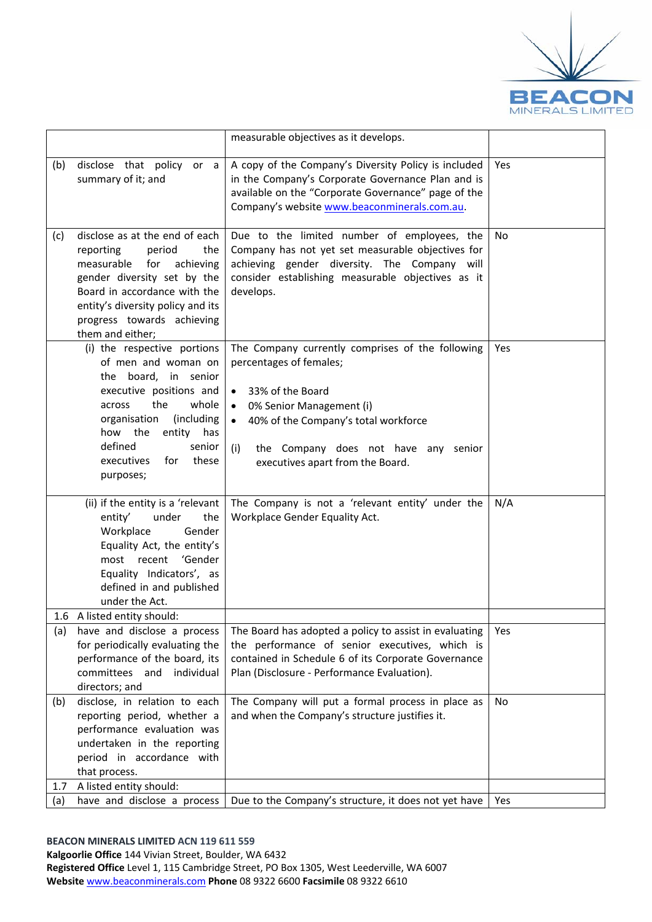

|            |                                                                                                                                                                                                                                                        | measurable objectives as it develops.                                                                                                                                                                                                                                                         |           |
|------------|--------------------------------------------------------------------------------------------------------------------------------------------------------------------------------------------------------------------------------------------------------|-----------------------------------------------------------------------------------------------------------------------------------------------------------------------------------------------------------------------------------------------------------------------------------------------|-----------|
| (b)        | disclose that policy or a<br>summary of it; and                                                                                                                                                                                                        | A copy of the Company's Diversity Policy is included<br>in the Company's Corporate Governance Plan and is<br>available on the "Corporate Governance" page of the<br>Company's website www.beaconminerals.com.au.                                                                              | Yes       |
| (c)        | disclose as at the end of each<br>reporting<br>period<br>the<br>measurable<br>for<br>achieving<br>gender diversity set by the<br>Board in accordance with the<br>entity's diversity policy and its<br>progress towards achieving<br>them and either;   | Due to the limited number of employees, the<br>Company has not yet set measurable objectives for<br>achieving gender diversity. The Company will<br>consider establishing measurable objectives as it<br>develops.                                                                            | <b>No</b> |
|            | (i) the respective portions<br>of men and woman on<br>the board, in senior<br>executive positions and<br>the<br>whole<br>across<br>(including<br>organisation<br>how the<br>entity has<br>defined<br>senior<br>for<br>these<br>executives<br>purposes; | The Company currently comprises of the following<br>percentages of females;<br>33% of the Board<br>$\bullet$<br>0% Senior Management (i)<br>$\bullet$<br>40% of the Company's total workforce<br>$\bullet$<br>the Company does not have any senior<br>(i)<br>executives apart from the Board. | Yes       |
|            | (ii) if the entity is a 'relevant<br>entity'<br>under<br>the<br>Workplace<br>Gender<br>Equality Act, the entity's<br>'Gender<br>most recent<br>Equality Indicators', as<br>defined in and published<br>under the Act.                                  | The Company is not a 'relevant entity' under the<br>Workplace Gender Equality Act.                                                                                                                                                                                                            | N/A       |
| (a)        | 1.6 A listed entity should:<br>have and disclose a process                                                                                                                                                                                             | The Board has adopted a policy to assist in evaluating                                                                                                                                                                                                                                        | Yes       |
|            | for periodically evaluating the<br>performance of the board, its<br>committees and<br>individual<br>directors; and                                                                                                                                     | the performance of senior executives, which is<br>contained in Schedule 6 of its Corporate Governance<br>Plan (Disclosure - Performance Evaluation).                                                                                                                                          |           |
| (b)        | disclose, in relation to each<br>reporting period, whether a<br>performance evaluation was<br>undertaken in the reporting<br>period in accordance with<br>that process.                                                                                | The Company will put a formal process in place as<br>and when the Company's structure justifies it.                                                                                                                                                                                           | No        |
| 1.7<br>(a) | A listed entity should:<br>have and disclose a process                                                                                                                                                                                                 | Due to the Company's structure, it does not yet have                                                                                                                                                                                                                                          | Yes       |
|            |                                                                                                                                                                                                                                                        |                                                                                                                                                                                                                                                                                               |           |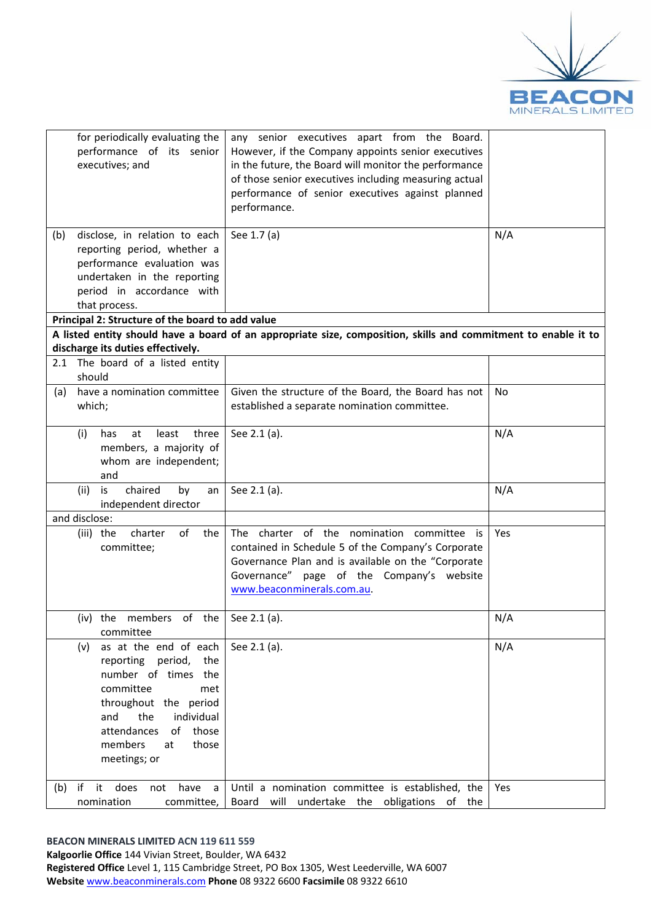

| for periodically evaluating the<br>performance of its senior<br>executives; and<br>disclose, in relation to each<br>(b)                                                                                                       | any senior executives apart from the Board.<br>However, if the Company appoints senior executives<br>in the future, the Board will monitor the performance<br>of those senior executives including measuring actual<br>performance of senior executives against planned<br>performance.<br>See 1.7 (a) | N/A |
|-------------------------------------------------------------------------------------------------------------------------------------------------------------------------------------------------------------------------------|--------------------------------------------------------------------------------------------------------------------------------------------------------------------------------------------------------------------------------------------------------------------------------------------------------|-----|
| reporting period, whether a<br>performance evaluation was<br>undertaken in the reporting<br>period in accordance with<br>that process.                                                                                        |                                                                                                                                                                                                                                                                                                        |     |
| Principal 2: Structure of the board to add value                                                                                                                                                                              |                                                                                                                                                                                                                                                                                                        |     |
|                                                                                                                                                                                                                               | A listed entity should have a board of an appropriate size, composition, skills and commitment to enable it to                                                                                                                                                                                         |     |
| discharge its duties effectively.<br>2.1 The board of a listed entity<br>should                                                                                                                                               |                                                                                                                                                                                                                                                                                                        |     |
| have a nomination committee<br>(a)<br>which;                                                                                                                                                                                  | Given the structure of the Board, the Board has not<br>established a separate nomination committee.                                                                                                                                                                                                    | No. |
| (i)<br>three<br>at<br>least<br>has<br>members, a majority of<br>whom are independent;<br>and                                                                                                                                  | See 2.1 (a).                                                                                                                                                                                                                                                                                           | N/A |
| chaired<br>(ii)<br>by<br>is<br>an<br>independent director                                                                                                                                                                     | See 2.1 (a).                                                                                                                                                                                                                                                                                           | N/A |
| and disclose:                                                                                                                                                                                                                 |                                                                                                                                                                                                                                                                                                        |     |
| of<br>charter<br>the<br>(iii) the<br>committee;                                                                                                                                                                               | The charter of the nomination committee is<br>contained in Schedule 5 of the Company's Corporate<br>Governance Plan and is available on the "Corporate<br>Governance" page of the Company's website<br>www.beaconminerals.com.au                                                                       | Yes |
| (iv) the members of the $\vert$ See 2.1 (a).<br>committee                                                                                                                                                                     |                                                                                                                                                                                                                                                                                                        | N/A |
| as at the end of each<br>(v)<br>reporting period,<br>the<br>number of times the<br>committee<br>met<br>throughout the period<br>the<br>individual<br>and<br>attendances<br>of those<br>members<br>those<br>at<br>meetings; or | See 2.1 (a).                                                                                                                                                                                                                                                                                           | N/A |
| $(b)$ if<br>it does<br>have a<br>not<br>nomination<br>committee,                                                                                                                                                              | Until a nomination committee is established, the<br>Board will undertake the obligations of the                                                                                                                                                                                                        | Yes |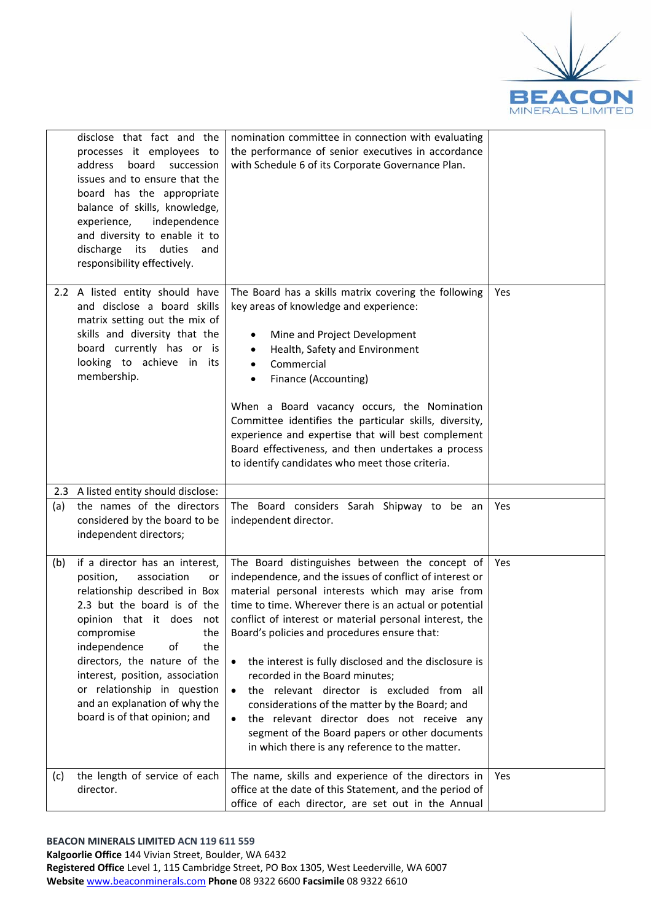

|     | disclose that fact and the<br>processes it employees to<br>address<br>board<br>succession<br>issues and to ensure that the<br>board has the appropriate<br>balance of skills, knowledge,<br>experience,<br>independence<br>and diversity to enable it to<br>discharge its duties<br>and<br>responsibility effectively.                                                                | nomination committee in connection with evaluating<br>the performance of senior executives in accordance<br>with Schedule 6 of its Corporate Governance Plan.                                                                                                                                                                                                                                                                                                                                                                                                                                                                                                                                                          |     |
|-----|---------------------------------------------------------------------------------------------------------------------------------------------------------------------------------------------------------------------------------------------------------------------------------------------------------------------------------------------------------------------------------------|------------------------------------------------------------------------------------------------------------------------------------------------------------------------------------------------------------------------------------------------------------------------------------------------------------------------------------------------------------------------------------------------------------------------------------------------------------------------------------------------------------------------------------------------------------------------------------------------------------------------------------------------------------------------------------------------------------------------|-----|
|     | 2.2 A listed entity should have<br>and disclose a board skills<br>matrix setting out the mix of<br>skills and diversity that the<br>board currently has or is<br>looking to achieve in its<br>membership.                                                                                                                                                                             | The Board has a skills matrix covering the following<br>key areas of knowledge and experience:<br>Mine and Project Development<br>٠<br>Health, Safety and Environment<br>٠<br>Commercial<br>Finance (Accounting)<br>$\bullet$<br>When a Board vacancy occurs, the Nomination<br>Committee identifies the particular skills, diversity,<br>experience and expertise that will best complement<br>Board effectiveness, and then undertakes a process<br>to identify candidates who meet those criteria.                                                                                                                                                                                                                  | Yes |
| (a) | 2.3 A listed entity should disclose:<br>the names of the directors<br>considered by the board to be<br>independent directors;                                                                                                                                                                                                                                                         | The Board considers Sarah Shipway to be an<br>independent director.                                                                                                                                                                                                                                                                                                                                                                                                                                                                                                                                                                                                                                                    | Yes |
| (b) | if a director has an interest,<br>position,<br>association<br>or<br>relationship described in Box<br>2.3 but the board is of the<br>opinion that it does<br>not<br>compromise<br>the<br>independence<br>of<br>the<br>directors, the nature of the<br>interest, position, association<br>or relationship in question<br>and an explanation of why the<br>board is of that opinion; and | The Board distinguishes between the concept of<br>independence, and the issues of conflict of interest or<br>material personal interests which may arise from<br>time to time. Wherever there is an actual or potential<br>conflict of interest or material personal interest, the<br>Board's policies and procedures ensure that:<br>the interest is fully disclosed and the disclosure is<br>$\bullet$<br>recorded in the Board minutes;<br>the relevant director is excluded from all<br>$\bullet$<br>considerations of the matter by the Board; and<br>the relevant director does not receive any<br>$\bullet$<br>segment of the Board papers or other documents<br>in which there is any reference to the matter. | Yes |
| (c) | the length of service of each<br>director.                                                                                                                                                                                                                                                                                                                                            | The name, skills and experience of the directors in<br>office at the date of this Statement, and the period of<br>office of each director, are set out in the Annual                                                                                                                                                                                                                                                                                                                                                                                                                                                                                                                                                   | Yes |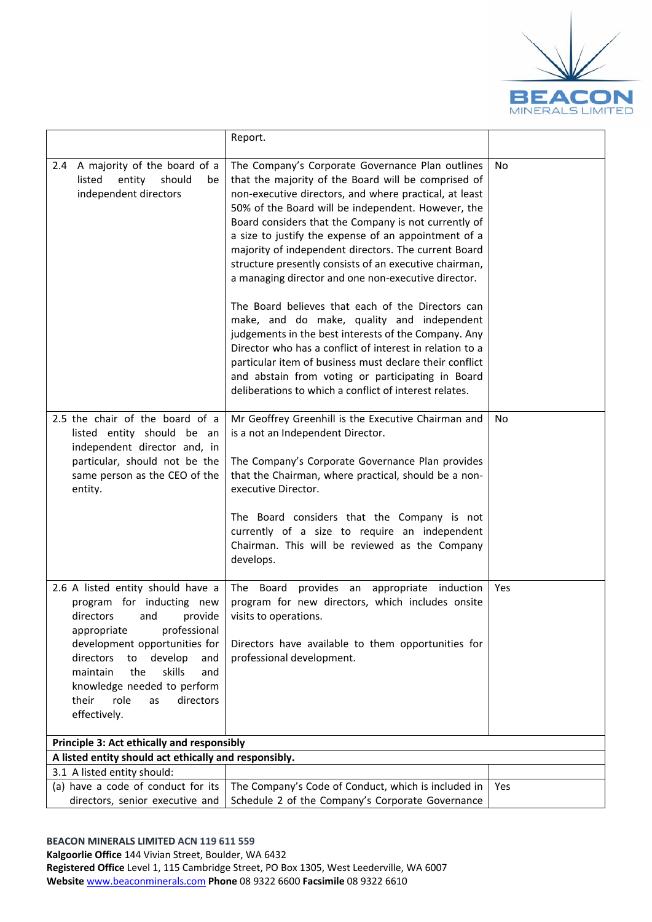

|                                                                                                                                                                                                                                                                                                                     | Report.                                                                                                                                                                                                                                                                                                                                                                                                                                                                                                                                                                                                                                                                                                                                                                                                                                                                                                           |           |
|---------------------------------------------------------------------------------------------------------------------------------------------------------------------------------------------------------------------------------------------------------------------------------------------------------------------|-------------------------------------------------------------------------------------------------------------------------------------------------------------------------------------------------------------------------------------------------------------------------------------------------------------------------------------------------------------------------------------------------------------------------------------------------------------------------------------------------------------------------------------------------------------------------------------------------------------------------------------------------------------------------------------------------------------------------------------------------------------------------------------------------------------------------------------------------------------------------------------------------------------------|-----------|
| A majority of the board of a<br>2.4<br>listed<br>entity<br>should<br>be<br>independent directors                                                                                                                                                                                                                    | The Company's Corporate Governance Plan outlines<br>that the majority of the Board will be comprised of<br>non-executive directors, and where practical, at least<br>50% of the Board will be independent. However, the<br>Board considers that the Company is not currently of<br>a size to justify the expense of an appointment of a<br>majority of independent directors. The current Board<br>structure presently consists of an executive chairman,<br>a managing director and one non-executive director.<br>The Board believes that each of the Directors can<br>make, and do make, quality and independent<br>judgements in the best interests of the Company. Any<br>Director who has a conflict of interest in relation to a<br>particular item of business must declare their conflict<br>and abstain from voting or participating in Board<br>deliberations to which a conflict of interest relates. | No.       |
| 2.5 the chair of the board of a<br>listed entity should be an<br>independent director and, in<br>particular, should not be the<br>same person as the CEO of the<br>entity.                                                                                                                                          | Mr Geoffrey Greenhill is the Executive Chairman and<br>is a not an Independent Director.<br>The Company's Corporate Governance Plan provides<br>that the Chairman, where practical, should be a non-<br>executive Director.<br>The Board considers that the Company is not<br>currently of a size to require an independent<br>Chairman. This will be reviewed as the Company<br>develops.                                                                                                                                                                                                                                                                                                                                                                                                                                                                                                                        | <b>No</b> |
| 2.6 A listed entity should have a<br>program for inducting new<br>directors and provide<br>professional<br>appropriate<br>development opportunities for<br>directors<br>develop<br>to<br>and<br>maintain<br>the<br>skills<br>and<br>knowledge needed to perform<br>directors<br>their<br>role<br>as<br>effectively. | The Board<br>provides an appropriate induction<br>program for new directors, which includes onsite<br>visits to operations.<br>Directors have available to them opportunities for<br>professional development.                                                                                                                                                                                                                                                                                                                                                                                                                                                                                                                                                                                                                                                                                                    | Yes       |
| Principle 3: Act ethically and responsibly                                                                                                                                                                                                                                                                          |                                                                                                                                                                                                                                                                                                                                                                                                                                                                                                                                                                                                                                                                                                                                                                                                                                                                                                                   |           |
| A listed entity should act ethically and responsibly.                                                                                                                                                                                                                                                               |                                                                                                                                                                                                                                                                                                                                                                                                                                                                                                                                                                                                                                                                                                                                                                                                                                                                                                                   |           |
| 3.1 A listed entity should:<br>(a) have a code of conduct for its                                                                                                                                                                                                                                                   |                                                                                                                                                                                                                                                                                                                                                                                                                                                                                                                                                                                                                                                                                                                                                                                                                                                                                                                   |           |
| directors, senior executive and                                                                                                                                                                                                                                                                                     | The Company's Code of Conduct, which is included in<br>Schedule 2 of the Company's Corporate Governance                                                                                                                                                                                                                                                                                                                                                                                                                                                                                                                                                                                                                                                                                                                                                                                                           | Yes       |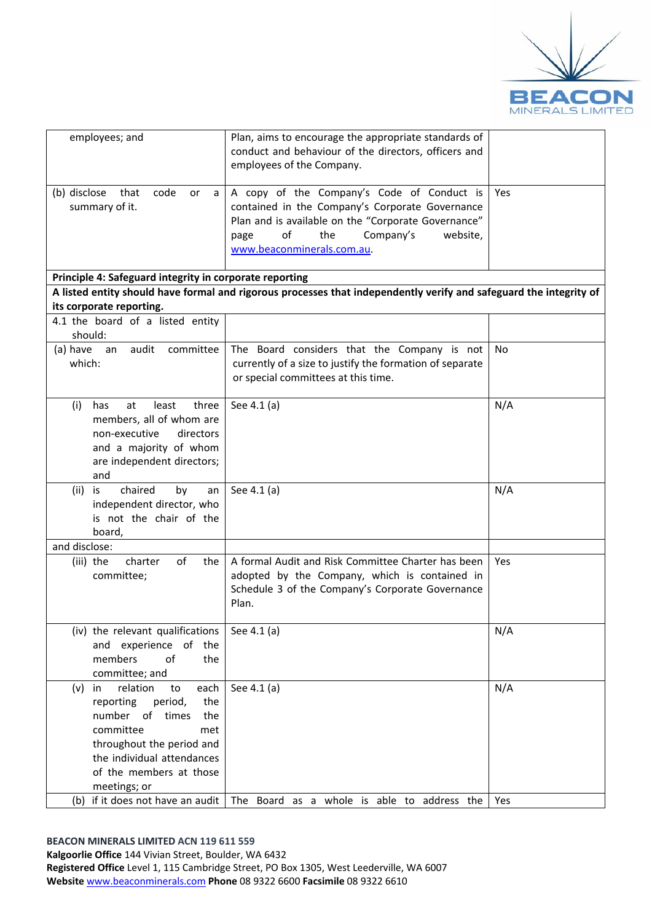

| employees; and                                                                                                                                                                                                                                                   | Plan, aims to encourage the appropriate standards of<br>conduct and behaviour of the directors, officers and<br>employees of the Company.                                                                                        |            |
|------------------------------------------------------------------------------------------------------------------------------------------------------------------------------------------------------------------------------------------------------------------|----------------------------------------------------------------------------------------------------------------------------------------------------------------------------------------------------------------------------------|------------|
| (b) disclose<br>that<br>code<br><b>or</b><br>a<br>summary of it.                                                                                                                                                                                                 | A copy of the Company's Code of Conduct is<br>contained in the Company's Corporate Governance<br>Plan and is available on the "Corporate Governance"<br>of<br>the<br>Company's<br>website,<br>page<br>www.beaconminerals.com.au. | Yes        |
| Principle 4: Safeguard integrity in corporate reporting                                                                                                                                                                                                          |                                                                                                                                                                                                                                  |            |
| its corporate reporting.                                                                                                                                                                                                                                         | A listed entity should have formal and rigorous processes that independently verify and safeguard the integrity of                                                                                                               |            |
| 4.1 the board of a listed entity<br>should:                                                                                                                                                                                                                      |                                                                                                                                                                                                                                  |            |
| audit<br>committee<br>(a) have<br>an<br>which:                                                                                                                                                                                                                   | The Board considers that the Company is not<br>currently of a size to justify the formation of separate<br>or special committees at this time.                                                                                   | <b>No</b>  |
| three<br>(i)<br>least<br>has<br>at<br>members, all of whom are<br>non-executive<br>directors<br>and a majority of whom<br>are independent directors;<br>and                                                                                                      | See 4.1 (a)                                                                                                                                                                                                                      | N/A        |
| chaired<br>by<br>(ii)<br>is<br>an<br>independent director, who<br>is not the chair of the<br>board,                                                                                                                                                              | See 4.1 (a)                                                                                                                                                                                                                      | N/A        |
| and disclose:                                                                                                                                                                                                                                                    |                                                                                                                                                                                                                                  |            |
| of<br>charter<br>the<br>(iii) the<br>committee;                                                                                                                                                                                                                  | A formal Audit and Risk Committee Charter has been<br>adopted by the Company, which is contained in<br>Schedule 3 of the Company's Corporate Governance<br>Plan.                                                                 | Yes        |
| (iv) the relevant qualifications<br>and experience of the<br>members<br>of<br>the<br>committee; and                                                                                                                                                              | See 4.1 (a)                                                                                                                                                                                                                      | N/A        |
| relation<br>each<br>in<br>to<br>(v)<br>reporting<br>period,<br>the<br>number<br>of<br>times<br>the<br>committee<br>met<br>throughout the period and<br>the individual attendances<br>of the members at those<br>meetings; or<br>(b) if it does not have an audit | See 4.1 (a)<br>The Board as a whole is able to address the                                                                                                                                                                       | N/A<br>Yes |
|                                                                                                                                                                                                                                                                  |                                                                                                                                                                                                                                  |            |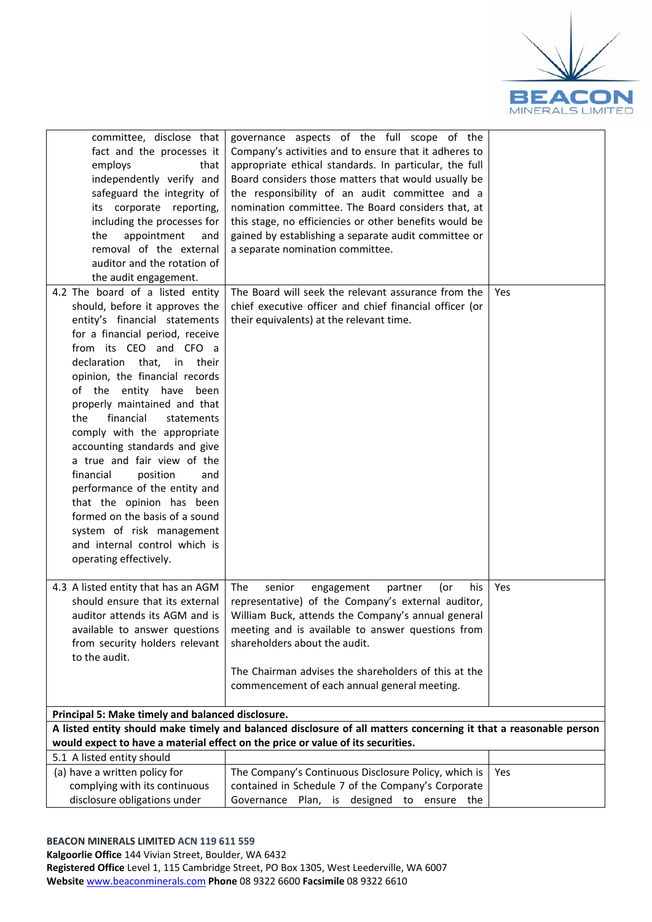

| committee, disclose that<br>fact and the processes it<br>employs<br>that<br>independently verify and<br>safeguard the integrity of<br>its corporate reporting,<br>including the processes for<br>appointment<br>the<br>and<br>removal of the external<br>auditor and the rotation of<br>the audit engagement.                                                                                                                                                                                                                                                                                                                                        | governance aspects of the full scope of the<br>Company's activities and to ensure that it adheres to<br>appropriate ethical standards. In particular, the full<br>Board considers those matters that would usually be<br>the responsibility of an audit committee and a<br>nomination committee. The Board considers that, at<br>this stage, no efficiencies or other benefits would be<br>gained by establishing a separate audit committee or<br>a separate nomination committee. |     |
|------------------------------------------------------------------------------------------------------------------------------------------------------------------------------------------------------------------------------------------------------------------------------------------------------------------------------------------------------------------------------------------------------------------------------------------------------------------------------------------------------------------------------------------------------------------------------------------------------------------------------------------------------|-------------------------------------------------------------------------------------------------------------------------------------------------------------------------------------------------------------------------------------------------------------------------------------------------------------------------------------------------------------------------------------------------------------------------------------------------------------------------------------|-----|
| 4.2 The board of a listed entity<br>should, before it approves the<br>entity's financial statements<br>for a financial period, receive<br>from its CEO and CFO a<br>declaration that, in their<br>opinion, the financial records<br>of the entity have been<br>properly maintained and that<br>financial<br>statements<br>the<br>comply with the appropriate<br>accounting standards and give<br>a true and fair view of the<br>financial<br>position<br>and<br>performance of the entity and<br>that the opinion has been<br>formed on the basis of a sound<br>system of risk management<br>and internal control which is<br>operating effectively. | The Board will seek the relevant assurance from the<br>chief executive officer and chief financial officer (or<br>their equivalents) at the relevant time.                                                                                                                                                                                                                                                                                                                          | Yes |
| 4.3 A listed entity that has an AGM<br>should ensure that its external<br>auditor attends its AGM and is<br>available to answer questions<br>from security holders relevant<br>to the audit.                                                                                                                                                                                                                                                                                                                                                                                                                                                         | The<br>senior<br>partner<br>(or<br>his<br>engagement<br>representative) of the Company's external auditor,<br>William Buck, attends the Company's annual general<br>meeting and is available to answer questions from<br>shareholders about the audit.<br>The Chairman advises the shareholders of this at the<br>commencement of each annual general meeting.                                                                                                                      | Yes |
| Principal 5: Make timely and balanced disclosure.                                                                                                                                                                                                                                                                                                                                                                                                                                                                                                                                                                                                    |                                                                                                                                                                                                                                                                                                                                                                                                                                                                                     |     |
|                                                                                                                                                                                                                                                                                                                                                                                                                                                                                                                                                                                                                                                      | A listed entity should make timely and balanced disclosure of all matters concerning it that a reasonable person<br>would expect to have a material effect on the price or value of its securities.                                                                                                                                                                                                                                                                                 |     |
| 5.1 A listed entity should                                                                                                                                                                                                                                                                                                                                                                                                                                                                                                                                                                                                                           |                                                                                                                                                                                                                                                                                                                                                                                                                                                                                     |     |
| (a) have a written policy for<br>complying with its continuous<br>disclosure obligations under                                                                                                                                                                                                                                                                                                                                                                                                                                                                                                                                                       | The Company's Continuous Disclosure Policy, which is<br>contained in Schedule 7 of the Company's Corporate<br>Governance Plan, is designed to ensure the                                                                                                                                                                                                                                                                                                                            | Yes |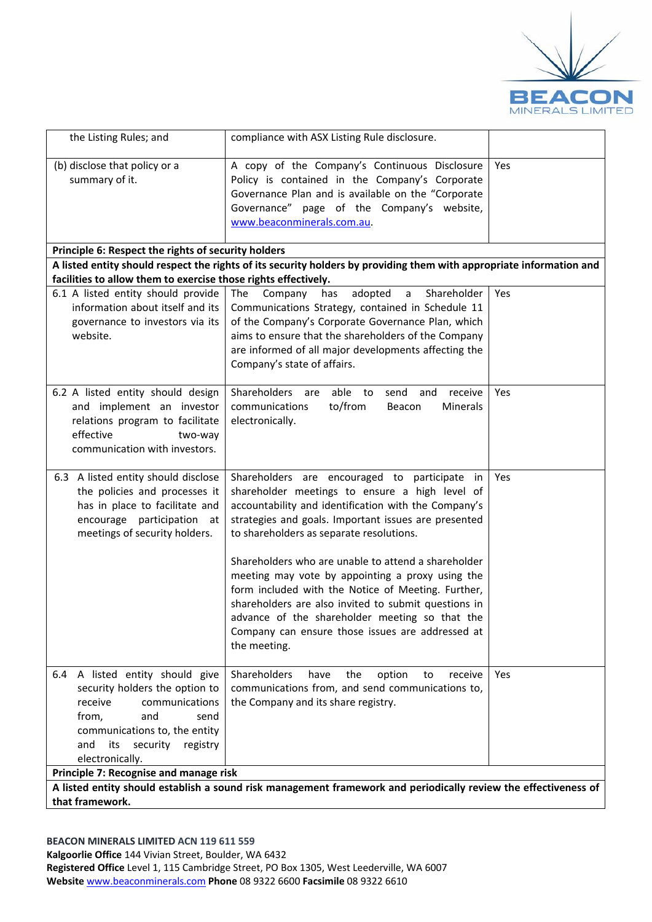

| the Listing Rules; and                                                                                                                                                                                                                                     | compliance with ASX Listing Rule disclosure.                                                                                                                                                                                                                                                                                                                                                                                                                                                                                                                                                               |     |  |
|------------------------------------------------------------------------------------------------------------------------------------------------------------------------------------------------------------------------------------------------------------|------------------------------------------------------------------------------------------------------------------------------------------------------------------------------------------------------------------------------------------------------------------------------------------------------------------------------------------------------------------------------------------------------------------------------------------------------------------------------------------------------------------------------------------------------------------------------------------------------------|-----|--|
| (b) disclose that policy or a<br>summary of it.                                                                                                                                                                                                            | A copy of the Company's Continuous Disclosure<br>Policy is contained in the Company's Corporate<br>Governance Plan and is available on the "Corporate<br>Governance" page of the Company's website,<br>www.beaconminerals.com.au                                                                                                                                                                                                                                                                                                                                                                           | Yes |  |
| Principle 6: Respect the rights of security holders                                                                                                                                                                                                        | A listed entity should respect the rights of its security holders by providing them with appropriate information and                                                                                                                                                                                                                                                                                                                                                                                                                                                                                       |     |  |
| facilities to allow them to exercise those rights effectively.                                                                                                                                                                                             |                                                                                                                                                                                                                                                                                                                                                                                                                                                                                                                                                                                                            |     |  |
| 6.1 A listed entity should provide<br>information about itself and its<br>governance to investors via its<br>website.                                                                                                                                      | The<br>adopted<br>Company<br>has<br>$\mathsf{a}$<br>Shareholder<br>Communications Strategy, contained in Schedule 11<br>of the Company's Corporate Governance Plan, which<br>aims to ensure that the shareholders of the Company<br>are informed of all major developments affecting the<br>Company's state of affairs.                                                                                                                                                                                                                                                                                    | Yes |  |
| 6.2 A listed entity should design<br>and implement an investor<br>relations program to facilitate<br>effective<br>two-way<br>communication with investors.                                                                                                 | Shareholders<br>able<br>send<br>to<br>and<br>receive<br>are<br>to/from<br>communications<br>Beacon<br>Minerals<br>electronically.                                                                                                                                                                                                                                                                                                                                                                                                                                                                          | Yes |  |
| 6.3 A listed entity should disclose<br>the policies and processes it<br>has in place to facilitate and<br>encourage participation<br>at<br>meetings of security holders.                                                                                   | Shareholders are encouraged to participate in<br>shareholder meetings to ensure a high level of<br>accountability and identification with the Company's<br>strategies and goals. Important issues are presented<br>to shareholders as separate resolutions.<br>Shareholders who are unable to attend a shareholder<br>meeting may vote by appointing a proxy using the<br>form included with the Notice of Meeting. Further,<br>shareholders are also invited to submit questions in<br>advance of the shareholder meeting so that the<br>Company can ensure those issues are addressed at<br>the meeting. | Yes |  |
| 6.4 A listed entity should give<br>security holders the option to<br>receive<br>communications<br>from,<br>and<br>send<br>communications to, the entity<br>security<br>and<br>its<br>registry<br>electronically.<br>Principle 7: Recognise and manage risk | Shareholders<br>have<br>the<br>option<br>to<br>receive<br>communications from, and send communications to,<br>the Company and its share registry.                                                                                                                                                                                                                                                                                                                                                                                                                                                          | Yes |  |
| A listed entity should establish a sound risk management framework and periodically review the effectiveness of                                                                                                                                            |                                                                                                                                                                                                                                                                                                                                                                                                                                                                                                                                                                                                            |     |  |
| that framework.                                                                                                                                                                                                                                            |                                                                                                                                                                                                                                                                                                                                                                                                                                                                                                                                                                                                            |     |  |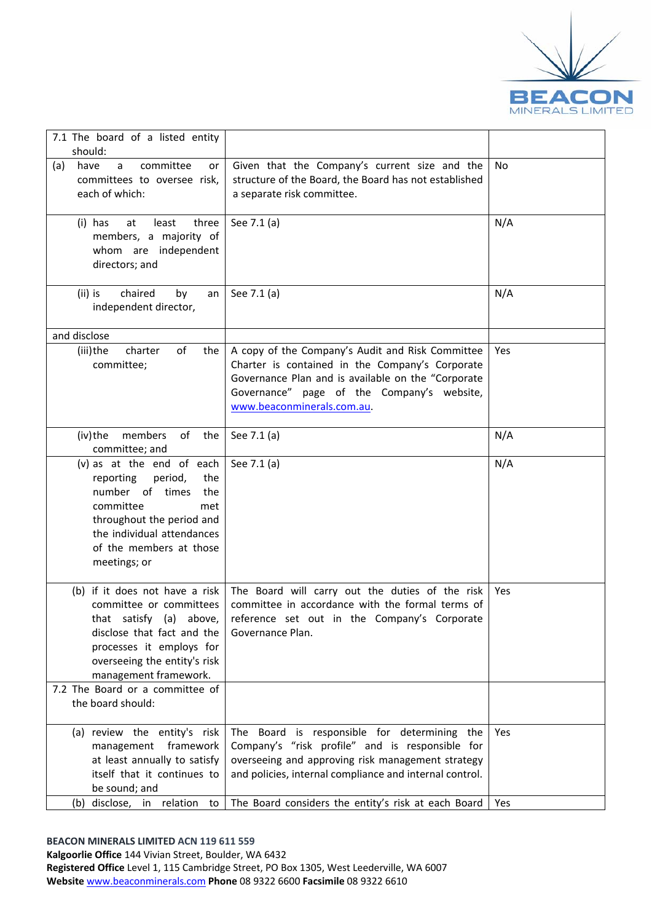

| 7.1 The board of a listed entity<br>should:                                                                                                                                                                  |                                                                                                                                                                                                                 |     |
|--------------------------------------------------------------------------------------------------------------------------------------------------------------------------------------------------------------|-----------------------------------------------------------------------------------------------------------------------------------------------------------------------------------------------------------------|-----|
| committee<br>have<br>(a)<br>a<br>or<br>committees to oversee risk,<br>each of which:                                                                                                                         | Given that the Company's current size and the<br>structure of the Board, the Board has not established<br>a separate risk committee.                                                                            | No  |
| (i) has<br>least<br>three<br>at<br>members, a majority of<br>whom are independent<br>directors; and                                                                                                          | See 7.1 (a)                                                                                                                                                                                                     | N/A |
| $(ii)$ is<br>chaired<br>by<br>an<br>independent director,                                                                                                                                                    | See 7.1 (a)                                                                                                                                                                                                     | N/A |
| and disclose<br>of<br>(iii)the<br>charter<br>the<br>committee;                                                                                                                                               | A copy of the Company's Audit and Risk Committee<br>Charter is contained in the Company's Corporate<br>Governance Plan and is available on the "Corporate                                                       | Yes |
|                                                                                                                                                                                                              | Governance" page of the Company's website,<br>www.beaconminerals.com.au.                                                                                                                                        |     |
| of the<br>(iv)the members<br>committee; and                                                                                                                                                                  | See 7.1 (a)                                                                                                                                                                                                     | N/A |
| (v) as at the end of each<br>reporting<br>period,<br>the<br>number of times<br>the<br>committee<br>met<br>throughout the period and<br>the individual attendances<br>of the members at those<br>meetings; or | See 7.1 (a)                                                                                                                                                                                                     | N/A |
| (b) if it does not have a risk<br>committee or committees<br>that satisfy (a) above,<br>disclose that fact and the<br>processes it employs for<br>overseeing the entity's risk<br>management framework.      | The Board will carry out the duties of the risk<br>committee in accordance with the formal terms of<br>reference set out in the Company's Corporate<br>Governance Plan.                                         | Yes |
| 7.2 The Board or a committee of<br>the board should:                                                                                                                                                         |                                                                                                                                                                                                                 |     |
| (a) review the entity's risk<br>management framework<br>at least annually to satisfy<br>itself that it continues to<br>be sound; and                                                                         | The Board is responsible for determining the<br>Company's "risk profile" and is responsible for<br>overseeing and approving risk management strategy<br>and policies, internal compliance and internal control. | Yes |
| (b) disclose, in relation<br>to                                                                                                                                                                              | The Board considers the entity's risk at each Board                                                                                                                                                             | Yes |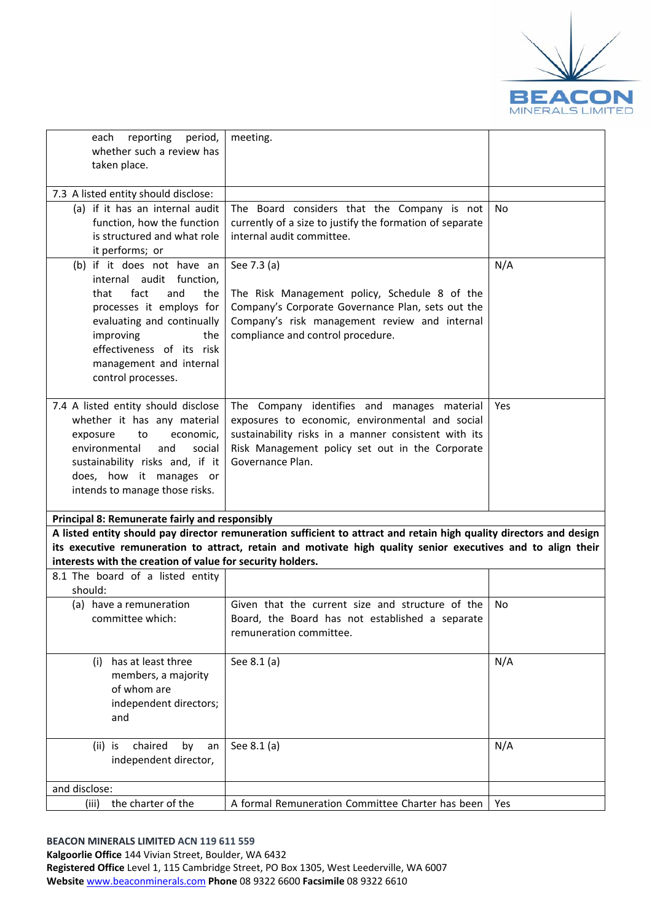

| reporting<br>period,<br>each<br>whether such a review has<br>taken place.                                                                                                                                                                        | meeting.                                                                                                                                                                                                                            |           |
|--------------------------------------------------------------------------------------------------------------------------------------------------------------------------------------------------------------------------------------------------|-------------------------------------------------------------------------------------------------------------------------------------------------------------------------------------------------------------------------------------|-----------|
| 7.3 A listed entity should disclose:                                                                                                                                                                                                             |                                                                                                                                                                                                                                     |           |
| (a) if it has an internal audit<br>function, how the function<br>is structured and what role<br>it performs; or                                                                                                                                  | The Board considers that the Company is not<br>currently of a size to justify the formation of separate<br>internal audit committee.                                                                                                | <b>No</b> |
| (b) if it does not have an<br>internal audit function,<br>fact<br>that<br>and<br>the<br>processes it employs for<br>evaluating and continually<br>improving<br>the<br>effectiveness of its risk<br>management and internal<br>control processes. | See 7.3 (a)<br>The Risk Management policy, Schedule 8 of the<br>Company's Corporate Governance Plan, sets out the<br>Company's risk management review and internal<br>compliance and control procedure.                             | N/A       |
| 7.4 A listed entity should disclose<br>whether it has any material<br>exposure<br>to<br>economic,<br>environmental<br>and<br>social<br>sustainability risks and, if it<br>does, how it manages or<br>intends to manage those risks.              | The Company identifies and manages material<br>exposures to economic, environmental and social<br>sustainability risks in a manner consistent with its<br>Risk Management policy set out in the Corporate<br>Governance Plan.       | Yes       |
| <b>Principal 8: Remunerate fairly and responsibly</b>                                                                                                                                                                                            |                                                                                                                                                                                                                                     |           |
| interests with the creation of value for security holders.                                                                                                                                                                                       | A listed entity should pay director remuneration sufficient to attract and retain high quality directors and design<br>its executive remuneration to attract, retain and motivate high quality senior executives and to align their |           |
| 8.1 The board of a listed entity<br>should:                                                                                                                                                                                                      |                                                                                                                                                                                                                                     |           |
| (a) have a remuneration<br>committee which:                                                                                                                                                                                                      | Given that the current size and structure of the<br>Board, the Board has not established a separate<br>remuneration committee.                                                                                                      | <b>No</b> |
| has at least three<br>(i)<br>members, a majority<br>of whom are<br>independent directors;<br>and                                                                                                                                                 | See 8.1 (a)                                                                                                                                                                                                                         | N/A       |
| chaired<br>$(ii)$ is<br>by<br>an<br>independent director,                                                                                                                                                                                        | See 8.1 (a)                                                                                                                                                                                                                         | N/A       |
| and disclose:                                                                                                                                                                                                                                    |                                                                                                                                                                                                                                     |           |
| the charter of the<br>(iii)                                                                                                                                                                                                                      | A formal Remuneration Committee Charter has been                                                                                                                                                                                    | Yes       |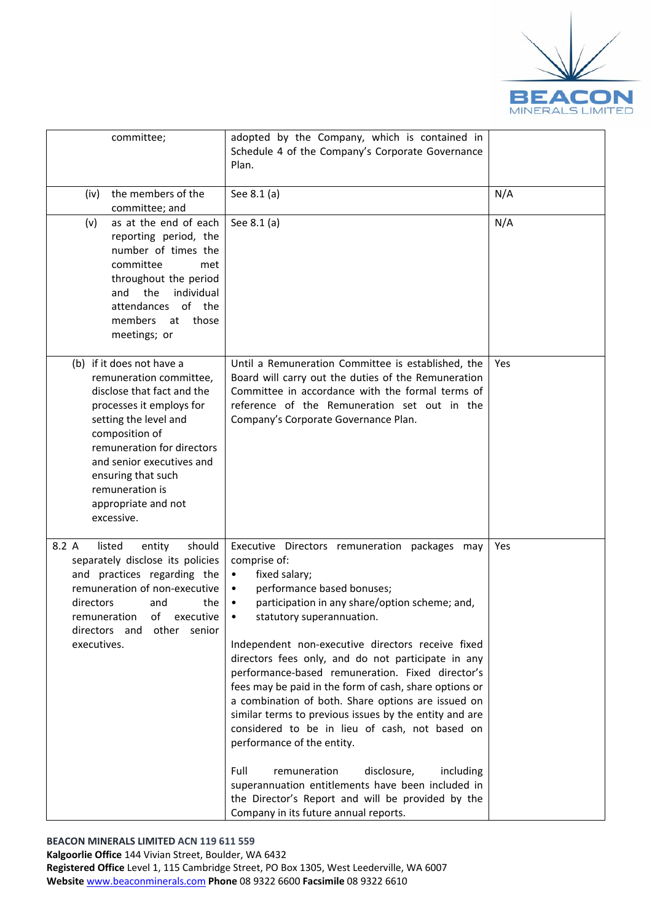

| committee;                                                                                                                                                                                                                                                                                         | adopted by the Company, which is contained in<br>Schedule 4 of the Company's Corporate Governance<br>Plan.                                                                                                                                                                                                                                                                                                                                                                                                                                                                                                                                                                                                                                                                                                                                                 |     |
|----------------------------------------------------------------------------------------------------------------------------------------------------------------------------------------------------------------------------------------------------------------------------------------------------|------------------------------------------------------------------------------------------------------------------------------------------------------------------------------------------------------------------------------------------------------------------------------------------------------------------------------------------------------------------------------------------------------------------------------------------------------------------------------------------------------------------------------------------------------------------------------------------------------------------------------------------------------------------------------------------------------------------------------------------------------------------------------------------------------------------------------------------------------------|-----|
| the members of the<br>(iv)<br>committee; and                                                                                                                                                                                                                                                       | See 8.1 (a)                                                                                                                                                                                                                                                                                                                                                                                                                                                                                                                                                                                                                                                                                                                                                                                                                                                | N/A |
| as at the end of each<br>(v)<br>reporting period, the<br>number of times the<br>committee<br>met<br>throughout the period<br>and the<br>individual<br>attendances of the<br>members<br>at<br>those<br>meetings; or                                                                                 | See 8.1 (a)                                                                                                                                                                                                                                                                                                                                                                                                                                                                                                                                                                                                                                                                                                                                                                                                                                                | N/A |
| (b) if it does not have a<br>remuneration committee,<br>disclose that fact and the<br>processes it employs for<br>setting the level and<br>composition of<br>remuneration for directors<br>and senior executives and<br>ensuring that such<br>remuneration is<br>appropriate and not<br>excessive. | Until a Remuneration Committee is established, the<br>Board will carry out the duties of the Remuneration<br>Committee in accordance with the formal terms of<br>reference of the Remuneration set out in the<br>Company's Corporate Governance Plan.                                                                                                                                                                                                                                                                                                                                                                                                                                                                                                                                                                                                      | Yes |
| 8.2 A<br>listed<br>entity<br>should<br>separately disclose its policies<br>and practices regarding the<br>remuneration of non-executive<br>directors<br>and<br>the<br>remuneration of executive<br>directors and other senior<br>executives.                                                       | Executive Directors remuneration packages may<br>comprise of:<br>fixed salary;<br>$\bullet$<br>performance based bonuses;<br>$\bullet$<br>participation in any share/option scheme; and,<br>٠<br>statutory superannuation.<br>Independent non-executive directors receive fixed<br>directors fees only, and do not participate in any<br>performance-based remuneration. Fixed director's<br>fees may be paid in the form of cash, share options or<br>a combination of both. Share options are issued on<br>similar terms to previous issues by the entity and are<br>considered to be in lieu of cash, not based on<br>performance of the entity.<br>Full<br>remuneration<br>disclosure,<br>including<br>superannuation entitlements have been included in<br>the Director's Report and will be provided by the<br>Company in its future annual reports. | Yes |